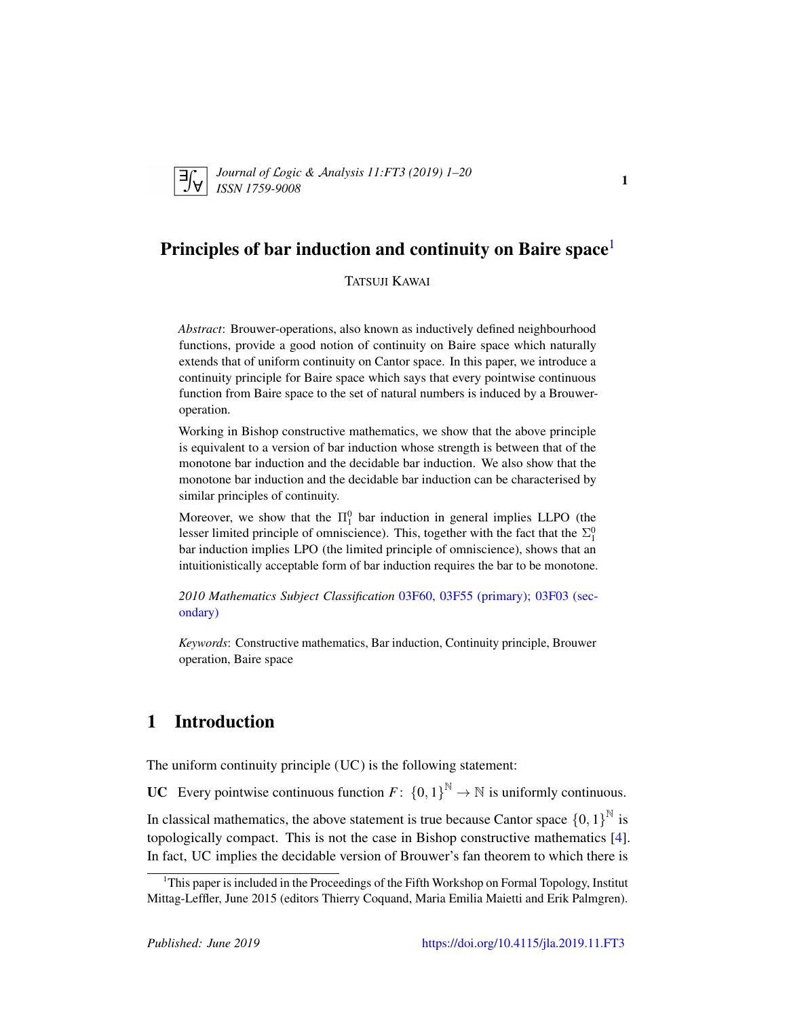

*Journal of* L*ogic &* A*nalysis 11:FT3 (2019) 1–20 ISSN 1759-9008* 11579-2022

## Principles of bar induction and continuity on Baire space<sup>[1](#page-0-0)</sup>

#### TATSUJI KAWAI

*Abstract*: Brouwer-operations, also known as inductively defined neighbourhood functions, provide a good notion of continuity on Baire space which naturally extends that of uniform continuity on Cantor space. In this paper, we introduce a continuity principle for Baire space which says that every pointwise continuous function from Baire space to the set of natural numbers is induced by a Brouweroperation.

Working in Bishop constructive mathematics, we show that the above principle is equivalent to a version of bar induction whose strength is between that of the monotone bar induction and the decidable bar induction. We also show that the monotone bar induction and the decidable bar induction can be characterised by similar principles of continuity.

Moreover, we show that the  $\Pi_1^0$  bar induction in general implies LLPO (the lesser limited principle of omniscience). This, together with the fact that the  $\Sigma_1^0$ bar induction implies LPO (the limited principle of omniscience), shows that an intuitionistically acceptable form of bar induction requires the bar to be monotone.

*2010 Mathematics Subject Classification* [03F60, 03F55 \(primary\); 03F03 \(sec](http://www.ams.org/mathscinet/search/mscdoc.html?code=03F60, 03F55,(03F03))[ondary\)](http://www.ams.org/mathscinet/search/mscdoc.html?code=03F60, 03F55,(03F03))

*Keywords*: Constructive mathematics, Bar induction, Continuity principle, Brouwer operation, Baire space

## <span id="page-0-1"></span>1 Introduction

The uniform continuity principle (UC) is the following statement:

**UC** Every pointwise continuous function  $F: \{0, 1\}^{\mathbb{N}} \to \mathbb{N}$  is uniformly continuous.

In classical mathematics, the above statement is true because Cantor space  $\{0,1\}^{\mathbb{N}}$  is topologically compact. This is not the case in Bishop constructive mathematics [\[4\]](#page-18-0). In fact, UC implies the decidable version of Brouwer's fan theorem to which there is

<span id="page-0-0"></span><sup>&</sup>lt;sup>1</sup>This paper is included in the Proceedings of the Fifth Workshop on Formal Topology, Institut Mittag-Leffler, June 2015 (editors Thierry Coquand, Maria Emilia Maietti and Erik Palmgren).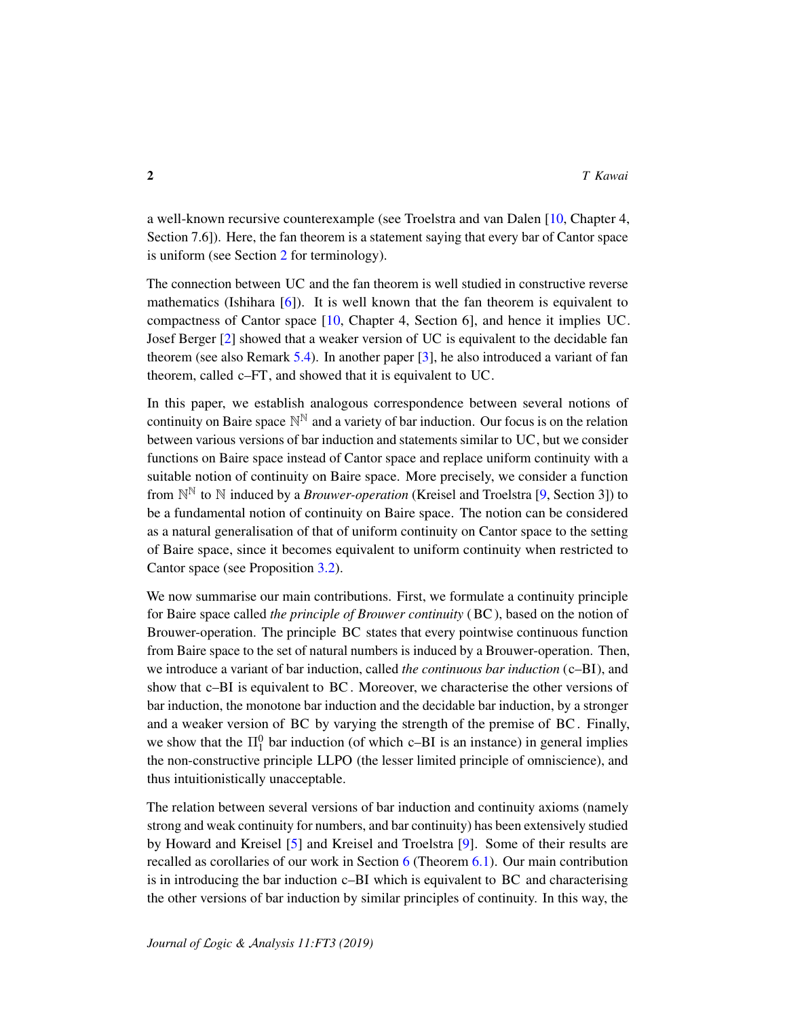a well-known recursive counterexample (see Troelstra and van Dalen [\[10,](#page-18-1) Chapter 4, Section 7.6]). Here, the fan theorem is a statement saying that every bar of Cantor space is uniform (see Section [2](#page-3-0) for terminology).

The connection between UC and the fan theorem is well studied in constructive reverse mathematics (Ishihara  $[6]$ ). It is well known that the fan theorem is equivalent to compactness of Cantor space [\[10,](#page-18-1) Chapter 4, Section 6], and hence it implies UC. Josef Berger [\[2\]](#page-18-3) showed that a weaker version of UC is equivalent to the decidable fan theorem (see also Remark [5.4\)](#page-13-0). In another paper [\[3\]](#page-18-4), he also introduced a variant of fan theorem, called c–FT, and showed that it is equivalent to UC.

In this paper, we establish analogous correspondence between several notions of continuity on Baire space  $\mathbb{N}^{\mathbb{N}}$  and a variety of bar induction. Our focus is on the relation between various versions of bar induction and statements similar to UC, but we consider functions on Baire space instead of Cantor space and replace uniform continuity with a suitable notion of continuity on Baire space. More precisely, we consider a function from  $\mathbb{N}^{\mathbb{N}}$  to  $\mathbb N$  induced by a *Brouwer-operation* (Kreisel and Troelstra [\[9,](#page-18-5) Section 3]) to be a fundamental notion of continuity on Baire space. The notion can be considered as a natural generalisation of that of uniform continuity on Cantor space to the setting of Baire space, since it becomes equivalent to uniform continuity when restricted to Cantor space (see Proposition [3.2\)](#page-8-0).

We now summarise our main contributions. First, we formulate a continuity principle for Baire space called *the principle of Brouwer continuity* (BC), based on the notion of Brouwer-operation. The principle BC states that every pointwise continuous function from Baire space to the set of natural numbers is induced by a Brouwer-operation. Then, we introduce a variant of bar induction, called *the continuous bar induction* (c–BI), and show that c–BI is equivalent to BC. Moreover, we characterise the other versions of bar induction, the monotone bar induction and the decidable bar induction, by a stronger and a weaker version of BC by varying the strength of the premise of BC. Finally, we show that the  $\Pi_1^0$  bar induction (of which c–BI is an instance) in general implies the non-constructive principle LLPO (the lesser limited principle of omniscience), and thus intuitionistically unacceptable.

The relation between several versions of bar induction and continuity axioms (namely strong and weak continuity for numbers, and bar continuity) has been extensively studied by Howard and Kreisel [\[5\]](#page-18-6) and Kreisel and Troelstra [\[9\]](#page-18-5). Some of their results are recalled as corollaries of our work in Section [6](#page-15-0) (Theorem [6.1\)](#page-15-1). Our main contribution is in introducing the bar induction c–BI which is equivalent to BC and characterising the other versions of bar induction by similar principles of continuity. In this way, the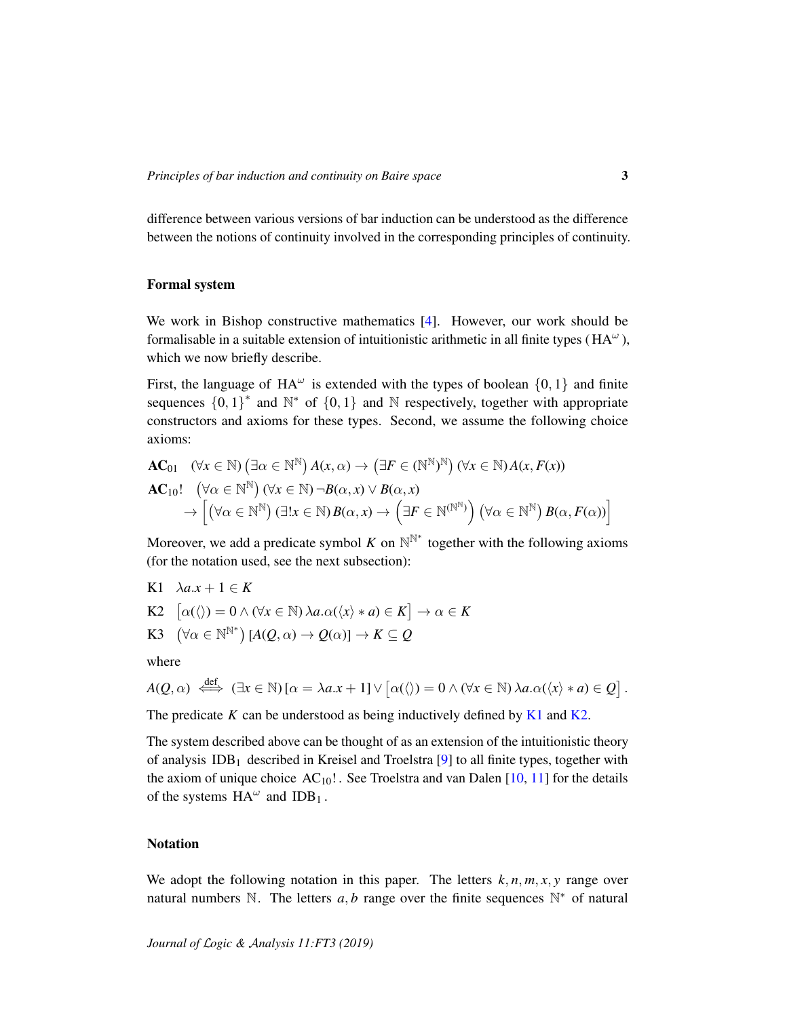difference between various versions of bar induction can be understood as the difference between the notions of continuity involved in the corresponding principles of continuity.

#### Formal system

We work in Bishop constructive mathematics [\[4\]](#page-18-0). However, our work should be formalisable in a suitable extension of intuitionistic arithmetic in all finite types ( $HA^{\omega}$ ), which we now briefly describe.

First, the language of  $HA^{\omega}$  is extended with the types of boolean  $\{0, 1\}$  and finite sequences  ${0, 1}^*$  and  $\mathbb{N}^*$  of  ${0, 1}$  and  $\mathbb{N}$  respectively, together with appropriate constructors and axioms for these types. Second, we assume the following choice axioms:

$$
\mathbf{AC}_{01} \quad (\forall x \in \mathbb{N}) \left( \exists \alpha \in \mathbb{N}^{\mathbb{N}} \right) A(x, \alpha) \to \left( \exists F \in (\mathbb{N}^{\mathbb{N}})^{\mathbb{N}} \right) (\forall x \in \mathbb{N}) A(x, F(x))
$$
\n
$$
\mathbf{AC}_{10}! \quad (\forall \alpha \in \mathbb{N}^{\mathbb{N}}) (\forall x \in \mathbb{N}) \neg B(\alpha, x) \lor B(\alpha, x)
$$
\n
$$
\to \left[ \left( \forall \alpha \in \mathbb{N}^{\mathbb{N}} \right) (\exists ! x \in \mathbb{N}) B(\alpha, x) \to \left( \exists F \in \mathbb{N}^{(\mathbb{N}^{\mathbb{N}})} \right) (\forall \alpha \in \mathbb{N}^{\mathbb{N}}) B(\alpha, F(\alpha)) \right]
$$

Moreover, we add a predicate symbol *K* on  $\mathbb{N}^{\mathbb{N}^*}$  together with the following axioms (for the notation used, see the next subsection):

<span id="page-2-0"></span>K1 
$$
\lambda a.x + 1 \in K
$$

<span id="page-2-1"></span>K2 
$$
\lbrack \alpha(\langle) = 0 \land (\forall x \in \mathbb{N}) \lambda a. \alpha(\langle x \rangle * a) \in K \rbrack \rightarrow \alpha \in K
$$

<span id="page-2-2"></span>K3 
$$
(\forall \alpha \in \mathbb{N}^{\mathbb{N}^*}) [A(Q, \alpha) \to Q(\alpha)] \to K \subseteq Q
$$

where

$$
A(Q, \alpha) \iff (\exists x \in \mathbb{N}) [\alpha = \lambda a.x + 1] \lor [\alpha(\langle) = 0 \land (\forall x \in \mathbb{N}) \lambda a. \alpha(\langle x \rangle * a) \in Q].
$$

The predicate *K* can be understood as being inductively defined by [K1](#page-2-0) and [K2.](#page-2-1)

The system described above can be thought of as an extension of the intuitionistic theory of analysis  $IDB<sub>1</sub>$  described in Kreisel and Troelstra [\[9\]](#page-18-5) to all finite types, together with the axiom of unique choice  $AC_{10}!$ . See Troelstra and van Dalen [\[10,](#page-18-1) [11\]](#page-19-0) for the details of the systems  $HA^{\omega}$  and  $IDB_1$ .

#### Notation

We adopt the following notation in this paper. The letters  $k, n, m, x, y$  range over natural numbers  $\mathbb N$ . The letters  $a, b$  range over the finite sequences  $\mathbb N^*$  of natural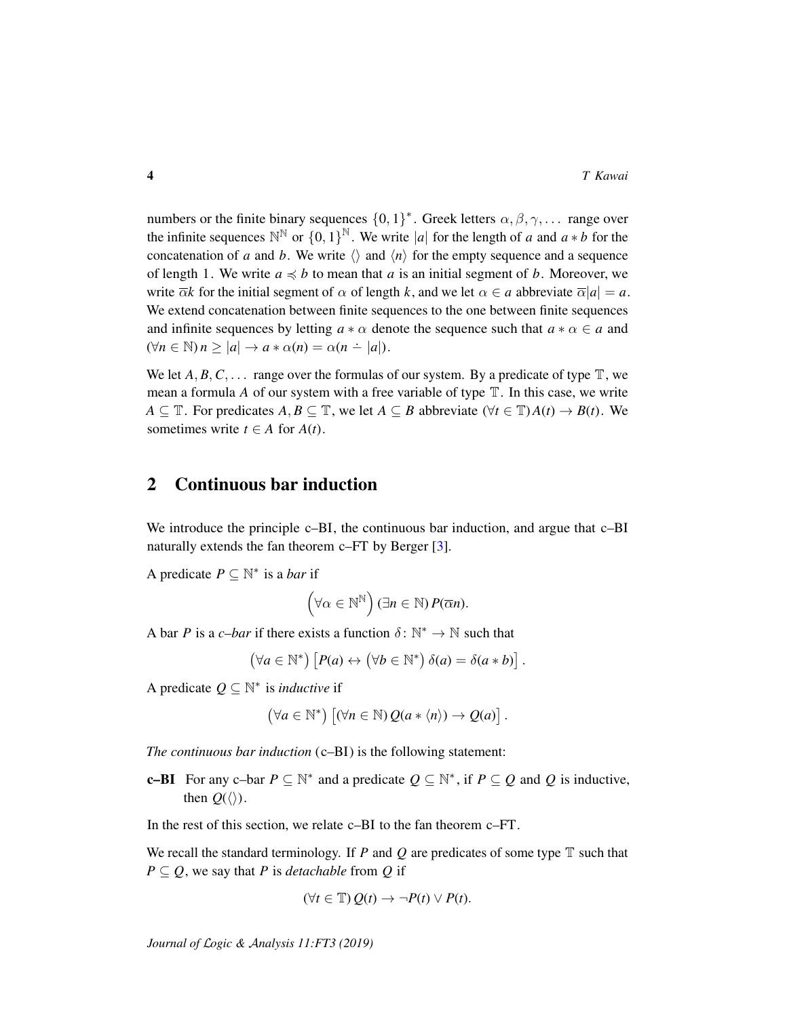numbers or the finite binary sequences  $\{0,1\}^*$ . Greek letters  $\alpha, \beta, \gamma, \ldots$  range over the infinite sequences  $\mathbb{N}^{\mathbb{N}}$  or  $\{0,1\}^{\mathbb{N}}$ . We write |*a*| for the length of *a* and *a* ∗ *b* for the concatenation of *a* and *b*. We write  $\langle \rangle$  and  $\langle n \rangle$  for the empty sequence and a sequence of length 1. We write  $a \preccurlyeq b$  to mean that *a* is an initial segment of *b*. Moreover, we write  $\overline{\alpha}k$  for the initial segment of  $\alpha$  of length k, and we let  $\alpha \in a$  abbreviate  $\overline{\alpha}|a| = a$ . We extend concatenation between finite sequences to the one between finite sequences and infinite sequences by letting  $a * \alpha$  denote the sequence such that  $a * \alpha \in a$  and  $(\forall n \in \mathbb{N})$   $n \geq |a| \rightarrow a * \alpha(n) = \alpha(n - |a|).$ 

We let  $A, B, C, \ldots$  range over the formulas of our system. By a predicate of type  $\mathbb{T}$ , we mean a formula *A* of our system with a free variable of type  $\mathbb T$ . In this case, we write *A* ⊆  $\mathbb{T}$ . For predicates *A*, *B* ⊆  $\mathbb{T}$ , we let *A* ⊆ *B* abbreviate ( $\forall t \in \mathbb{T}$ )*A*(*t*)  $\rightarrow$  *B*(*t*). We sometimes write  $t \in A$  for  $A(t)$ .

### <span id="page-3-0"></span>2 Continuous bar induction

We introduce the principle c–BI, the continuous bar induction, and argue that c–BI naturally extends the fan theorem c–FT by Berger [\[3\]](#page-18-4).

A predicate  $P \subseteq \mathbb{N}^*$  is a *bar* if

$$
(\forall \alpha \in \mathbb{N}^{\mathbb{N}}) (\exists n \in \mathbb{N}) P(\overline{\alpha}n).
$$

A bar *P* is a *c*-*bar* if there exists a function  $\delta : \mathbb{N}^* \to \mathbb{N}$  such that

$$
(\forall a \in \mathbb{N}^*) \left[ P(a) \leftrightarrow (\forall b \in \mathbb{N}^*) \delta(a) = \delta(a * b) \right].
$$

A predicate  $Q \subseteq \mathbb{N}^*$  is *inductive* if

$$
(\forall a \in \mathbb{N}^*) \left[ (\forall n \in \mathbb{N}) Q(a * \langle n \rangle) \to Q(a) \right].
$$

*The continuous bar induction* (c–BI) is the following statement:

**c–BI** For any c–bar  $P \subseteq \mathbb{N}^*$  and a predicate  $Q \subseteq \mathbb{N}^*$ , if  $P \subseteq Q$  and  $Q$  is inductive, then  $Q(\langle\rangle)$ .

In the rest of this section, we relate c–BI to the fan theorem c–FT.

We recall the standard terminology. If *P* and *Q* are predicates of some type T such that  $P \subseteq Q$ , we say that *P* is *detachable* from *Q* if

$$
(\forall t \in \mathbb{T}) Q(t) \to \neg P(t) \vee P(t).
$$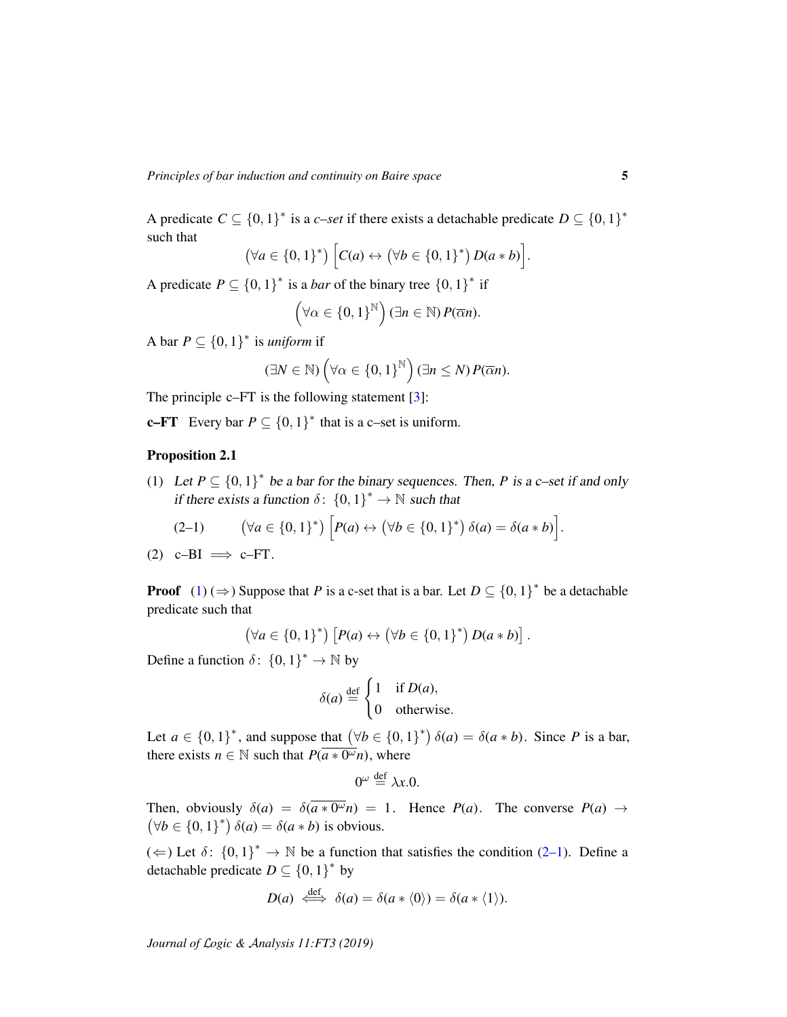A predicate  $C \subseteq \{0,1\}^*$  is a *c–set* if there exists a detachable predicate  $D \subseteq \{0,1\}^*$ such that

$$
(\forall a \in \{0,1\}^*) \Big[ C(a) \leftrightarrow (\forall b \in \{0,1\}^*) D(a*b) \Big].
$$

A predicate  $P \subseteq \{0, 1\}^*$  is a *bar* of the binary tree  $\{0, 1\}^*$  if

$$
(\forall \alpha \in \{0,1\}^{\mathbb{N}}) (\exists n \in \mathbb{N}) P(\overline{\alpha}n).
$$

A bar  $P \subseteq \{0, 1\}^*$  is *uniform* if

$$
(\exists N \in \mathbb{N}) \left( \forall \alpha \in \{0,1\}^{\mathbb{N}} \right) (\exists n \leq N) P(\overline{\alpha}n).
$$

The principle c–FT is the following statement [\[3\]](#page-18-4):

**c–FT** Every bar  $P \subseteq \{0, 1\}^*$  that is a c–set is uniform.

#### Proposition 2.1

<span id="page-4-0"></span>(1) Let  $P \subseteq \{0,1\}^*$  be a bar for the binary sequences. Then, *P* is a c–set if and only if there exists a function  $\delta$ :  $\{0,1\}^* \to \mathbb{N}$  such that

<span id="page-4-1"></span>
$$
(2-1) \qquad (\forall a \in \{0,1\}^*) \left[ P(a) \leftrightarrow (\forall b \in \{0,1\}^*) \delta(a) = \delta(a*b) \right].
$$

<span id="page-4-2"></span> $(2)$  c–BI  $\implies$  c–FT.

**Proof**  $(1)$  ( $\Rightarrow$  ) Suppose that *P* is a c-set that is a bar. Let  $D \subseteq \{0, 1\}^*$  be a detachable predicate such that

$$
(\forall a \in \{0,1\}^*) \left[ P(a) \leftrightarrow (\forall b \in \{0,1\}^*) D(a*b) \right].
$$

Define a function  $\delta$ :  $\{0, 1\}^* \to \mathbb{N}$  by

$$
\delta(a) \stackrel{\text{def}}{=} \begin{cases} 1 & \text{if } D(a), \\ 0 & \text{otherwise.} \end{cases}
$$

Let  $a \in \{0,1\}^*$ , and suppose that  $(\forall b \in \{0,1\}^*) \delta(a) = \delta(a * b)$ . Since *P* is a bar, there exists  $n \in \mathbb{N}$  such that  $P(\overline{a \cdot w} \cdot a)$ , where

$$
0^{\omega} \stackrel{\text{def}}{=} \lambda x.0.
$$

Then, obviously  $\delta(a) = \delta(\overline{a \cdot \theta^{\omega}} n) = 1$ . Hence  $P(a)$ . The converse  $P(a) \rightarrow$  $(\forall b \in \{0, 1\}^*) \delta(a) = \delta(a * b)$  is obvious.

 $(\Leftarrow)$  Let  $\delta$ :  $\{0,1\}^* \to \mathbb{N}$  be a function that satisfies the condition [\(2–1\)](#page-4-1). Define a detachable predicate  $D \subseteq \{0, 1\}^*$  by

$$
D(a) \iff \delta(a) = \delta(a * \langle 0 \rangle) = \delta(a * \langle 1 \rangle).
$$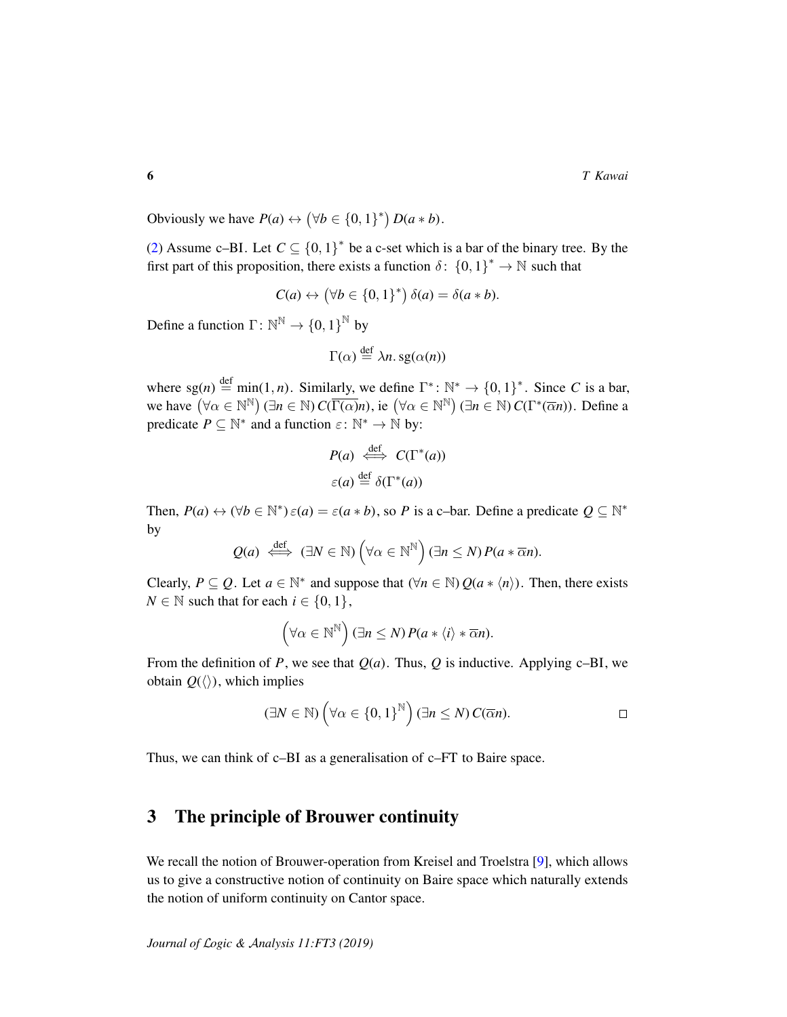Obviously we have  $P(a) \leftrightarrow (\forall b \in \{0, 1\}^*) D(a * b)$ .

[\(2\)](#page-4-2) Assume c–BI. Let  $C \subseteq \{0,1\}^*$  be a c-set which is a bar of the binary tree. By the first part of this proposition, there exists a function  $\delta$ :  $\{0,1\}^* \to \mathbb{N}$  such that

$$
C(a) \leftrightarrow (\forall b \in \{0,1\}^*) \delta(a) = \delta(a * b).
$$

Define a function  $\Gamma: \mathbb{N}^{\mathbb{N}} \to \{0,1\}^{\mathbb{N}}$  by

$$
\Gamma(\alpha) \stackrel{\text{def}}{=} \lambda n. \text{sg}(\alpha(n))
$$

where  $sg(n) \stackrel{\text{def}}{=} \min(1, n)$ . Similarly, we define  $\Gamma^* \colon \mathbb{N}^* \to \{0, 1\}^*$ . Since *C* is a bar, we have  $(\forall \alpha \in \mathbb{N}^{\mathbb{N}})$   $(\exists n \in \mathbb{N})$   $C(\overline{\Gamma(\alpha)}n)$ , ie  $(\forall \alpha \in \mathbb{N}^{\mathbb{N}})$   $(\exists n \in \mathbb{N})$   $C(\Gamma^*(\overline{\alpha}n))$ . Define a predicate  $P \subseteq \mathbb{N}^*$  and a function  $\varepsilon \colon \mathbb{N}^* \to \mathbb{N}$  by:

$$
P(a) \stackrel{\text{def}}{\iff} C(\Gamma^*(a))
$$
  

$$
\varepsilon(a) \stackrel{\text{def}}{=} \delta(\Gamma^*(a))
$$

Then,  $P(a) \leftrightarrow (\forall b \in \mathbb{N}^*) \varepsilon(a) = \varepsilon(a * b)$ , so *P* is a c-bar. Define a predicate  $Q \subseteq \mathbb{N}^*$ by

$$
Q(a) \stackrel{\text{def}}{\iff} (\exists N \in \mathbb{N}) \left( \forall \alpha \in \mathbb{N}^{\mathbb{N}} \right) (\exists n \leq N) P(a * \overline{\alpha} n).
$$

Clearly,  $P \subseteq Q$ . Let  $a \in \mathbb{N}^*$  and suppose that  $(\forall n \in \mathbb{N}) Q(a * \langle n \rangle)$ . Then, there exists  $N \in \mathbb{N}$  such that for each  $i \in \{0, 1\},$ 

$$
(\forall \alpha \in \mathbb{N}^{\mathbb{N}}) (\exists n \leq N) P(a * \langle i \rangle * \overline{\alpha} n).
$$

From the definition of *P*, we see that  $Q(a)$ . Thus,  $Q$  is inductive. Applying c–BI, we obtain  $O(\langle \rangle)$ , which implies

$$
(\exists N \in \mathbb{N}) \left( \forall \alpha \in \{0,1\}^{\mathbb{N}} \right) (\exists n \leq N) C(\overline{\alpha}n).
$$

Thus, we can think of c–BI as a generalisation of c–FT to Baire space.

## <span id="page-5-0"></span>3 The principle of Brouwer continuity

We recall the notion of Brouwer-operation from Kreisel and Troelstra [\[9\]](#page-18-5), which allows us to give a constructive notion of continuity on Baire space which naturally extends the notion of uniform continuity on Cantor space.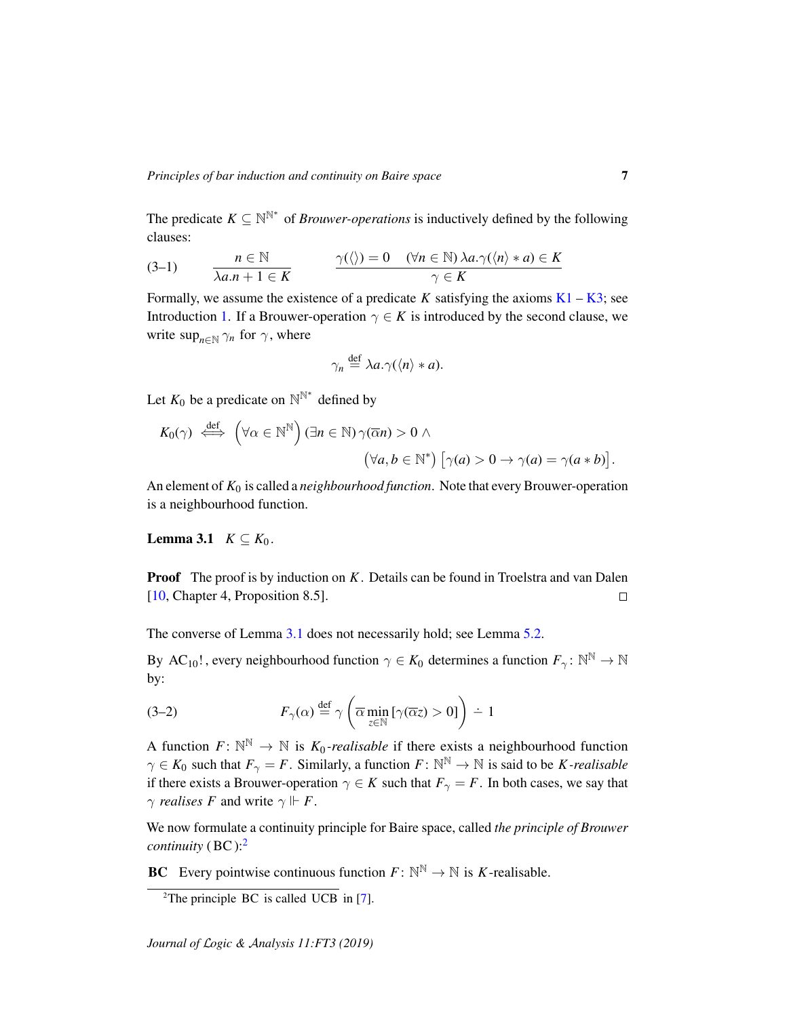The predicate  $K \subseteq \mathbb{N}^{\mathbb{N}^*}$  of *Brouwer-operations* is inductively defined by the following clauses:

<span id="page-6-3"></span>(3-1) 
$$
n \in \mathbb{N}
$$

$$
\lambda a.n + 1 \in K
$$

$$
\gamma(\langle \rangle) = 0 \quad (\forall n \in \mathbb{N}) \lambda a. \gamma(\langle n \rangle * a) \in K
$$

Formally, we assume the existence of a predicate *K* satisfying the axioms  $K1 - K3$  $K1 - K3$ ; see Introduction [1.](#page-0-1) If a Brouwer-operation  $\gamma \in K$  is introduced by the second clause, we write  $\sup_{n \in \mathbb{N}} \gamma_n$  for  $\gamma$ , where

$$
\gamma_n \stackrel{\text{def}}{=} \lambda a. \gamma(\langle n \rangle * a).
$$

Let  $K_0$  be a predicate on  $\mathbb{N}^{\mathbb{N}^*}$  defined by

$$
K_0(\gamma) \stackrel{\text{def}}{\iff} \left(\forall \alpha \in \mathbb{N}^{\mathbb{N}}\right) (\exists n \in \mathbb{N}) \, \gamma(\overline{\alpha}n) > 0 \land \\ \left(\forall a, b \in \mathbb{N}^*\right) \left[\gamma(a) > 0 \to \gamma(a) = \gamma(a * b)\right].
$$

An element of  $K_0$  is called a *neighbourhood function*. Note that every Brouwer-operation is a neighbourhood function.

<span id="page-6-0"></span>Lemma 3.1  $K \subseteq K_0$ .

**Proof** The proof is by induction on *K*. Details can be found in Troelstra and van Dalen [\[10,](#page-18-1) Chapter 4, Proposition 8.5].  $\Box$ 

The converse of Lemma [3.1](#page-6-0) does not necessarily hold; see Lemma [5.2.](#page-12-0)

By AC<sub>10</sub>!, every neighbourhood function  $\gamma \in K_0$  determines a function  $F_{\gamma} \colon \mathbb{N}^{\mathbb{N}} \to \mathbb{N}$ by:

<span id="page-6-2"></span>(3-2) 
$$
F_{\gamma}(\alpha) \stackrel{\text{def}}{=} \gamma \left( \overline{\alpha} \min_{z \in \mathbb{N}} \left[ \gamma(\overline{\alpha} z) > 0 \right] \right) \div 1
$$

A function  $F: \mathbb{N}^{\mathbb{N}} \to \mathbb{N}$  is  $K_0$ -realisable if there exists a neighbourhood function  $\gamma \in K_0$  such that  $F_{\gamma} = F$ . Similarly, a function  $F: \mathbb{N}^{\mathbb{N}} \to \mathbb{N}$  is said to be *K*-realisable if there exists a Brouwer-operation  $\gamma \in K$  such that  $F_{\gamma} = F$ . In both cases, we say that  $\gamma$  *realises* F and write  $\gamma \Vdash F$ .

We now formulate a continuity principle for Baire space, called *the principle of Brouwer continuity* ( BC ):[2](#page-6-1)

**BC** Every pointwise continuous function  $F: \mathbb{N}^{\mathbb{N}} \to \mathbb{N}$  is *K*-realisable.

<span id="page-6-1"></span><sup>&</sup>lt;sup>2</sup>The principle BC is called UCB in [\[7\]](#page-18-7).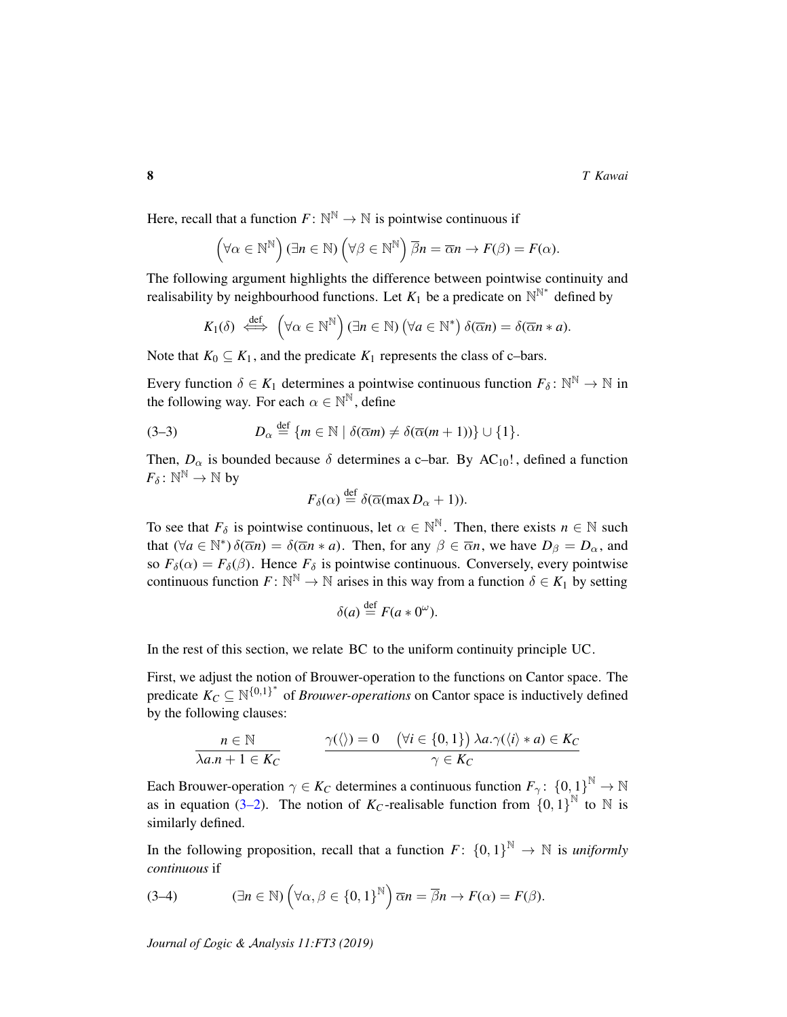Here, recall that a function  $F: \mathbb{N}^{\mathbb{N}} \to \mathbb{N}$  is pointwise continuous if

$$
(\forall \alpha \in \mathbb{N}^{\mathbb{N}}) (\exists n \in \mathbb{N}) (\forall \beta \in \mathbb{N}^{\mathbb{N}}) \overline{\beta}n = \overline{\alpha}n \rightarrow F(\beta) = F(\alpha).
$$

The following argument highlights the difference between pointwise continuity and realisability by neighbourhood functions. Let  $K_1$  be a predicate on  $\mathbb{N}^{\mathbb{N}^*}$  defined by

$$
K_1(\delta) \stackrel{\text{def}}{\iff} (\forall \alpha \in \mathbb{N}^{\mathbb{N}}) (\exists n \in \mathbb{N}) (\forall a \in \mathbb{N}^*) \delta(\overline{\alpha}n) = \delta(\overline{\alpha}n * a).
$$

Note that  $K_0 \subseteq K_1$ , and the predicate  $K_1$  represents the class of c-bars.

Every function  $\delta \in K_1$  determines a pointwise continuous function  $F_{\delta} \colon \mathbb{N}^{\mathbb{N}} \to \mathbb{N}$  in the following way. For each  $\alpha \in \mathbb{N}^{\mathbb{N}}$ , define

(3-3) 
$$
D_{\alpha} \stackrel{\text{def}}{=} \{m \in \mathbb{N} \mid \delta(\overline{\alpha}m) \neq \delta(\overline{\alpha}(m+1))\} \cup \{1\}.
$$

Then,  $D_{\alpha}$  is bounded because  $\delta$  determines a c-bar. By AC<sub>10</sub>!, defined a function  $F_\delta \colon \mathbb{N}^\mathbb{N} \to \mathbb{N}$  by

<span id="page-7-1"></span>
$$
F_{\delta}(\alpha) \stackrel{\text{def}}{=} \delta(\overline{\alpha}(\max D_{\alpha} + 1)).
$$

To see that  $F_\delta$  is pointwise continuous, let  $\alpha \in \mathbb{N}^\mathbb{N}$ . Then, there exists  $n \in \mathbb{N}$  such that  $(\forall a \in \mathbb{N}^*) \delta(\overline{\alpha}n) = \delta(\overline{\alpha}n * a)$ . Then, for any  $\beta \in \overline{\alpha}n$ , we have  $D_{\beta} = D_{\alpha}$ , and so  $F_\delta(\alpha) = F_\delta(\beta)$ . Hence  $F_\delta$  is pointwise continuous. Conversely, every pointwise continuous function  $F: \mathbb{N}^{\mathbb{N}} \to \mathbb{N}$  arises in this way from a function  $\delta \in K_1$  by setting

$$
\delta(a) \stackrel{\text{def}}{=} F(a \ast 0^{\omega}).
$$

In the rest of this section, we relate BC to the uniform continuity principle UC.

First, we adjust the notion of Brouwer-operation to the functions on Cantor space. The predicate  $K_C \subseteq \mathbb{N}^{\{0,1\}^*}$  of *Brouwer-operations* on Cantor space is inductively defined by the following clauses:

$$
\frac{n \in \mathbb{N}}{\lambda a.n + 1 \in K_C}
$$
\n
$$
\frac{\gamma(\langle \rangle) = 0 \quad (\forall i \in \{0, 1\}) \lambda a. \gamma(\langle i \rangle * a) \in K_C}{\gamma \in K_C}
$$

Each Brouwer-operation  $\gamma \in K_C$  determines a continuous function  $F_\gamma$ :  $\{0,1\}^{\mathbb{N}} \to \mathbb{N}$ as in equation [\(3–2\)](#page-6-2). The notion of  $K_C$ -realisable function from  $\{0, 1\}^{\mathbb{N}}$  to  $\mathbb N$  is similarly defined.

In the following proposition, recall that a function  $F: \{0,1\}^{\mathbb{N}} \to \mathbb{N}$  is *uniformly continuous* if

<span id="page-7-0"></span>(3-4) 
$$
(\exists n \in \mathbb{N}) \left(\forall \alpha, \beta \in \{0,1\}^{\mathbb{N}}\right) \overline{\alpha}n = \overline{\beta}n \rightarrow F(\alpha) = F(\beta).
$$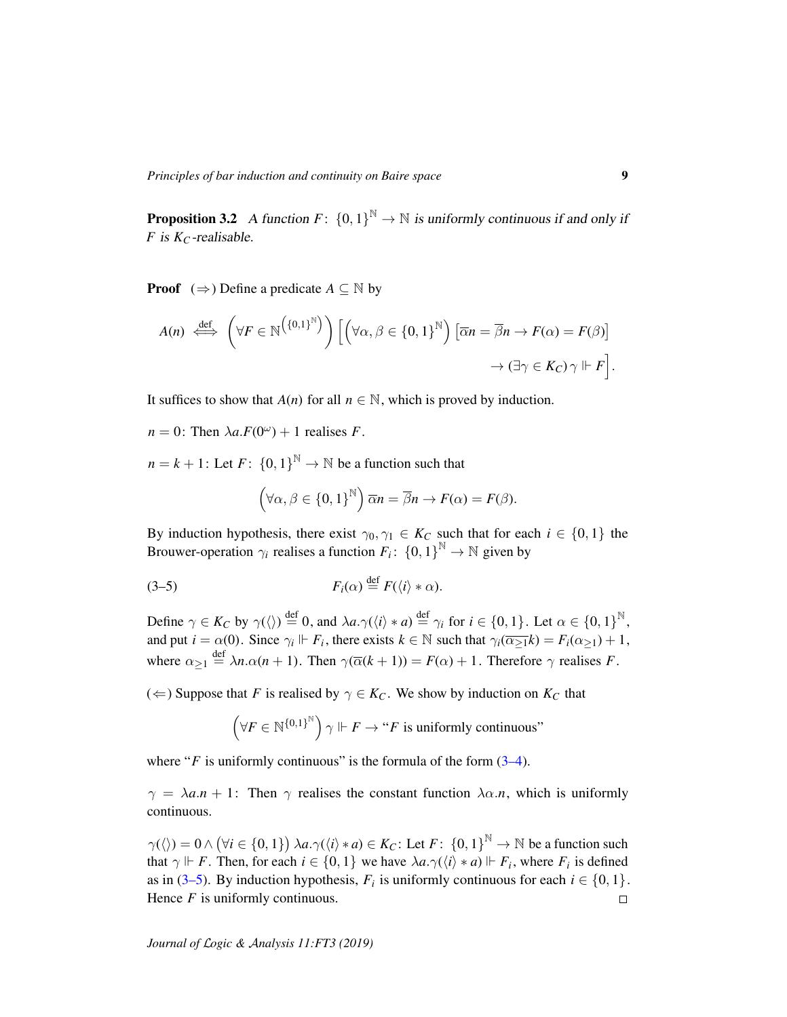<span id="page-8-0"></span>**Proposition 3.2** A function  $F: \{0, 1\}^{\mathbb{N}} \to \mathbb{N}$  is uniformly continuous if and only if *F* is  $K_C$ -realisable.

**Proof**  $(\Rightarrow)$  Define a predicate  $A \subseteq \mathbb{N}$  by

$$
A(n) \iff \left(\forall F \in \mathbb{N}^{\left(\{0,1\}^{\mathbb{N}}\right)}\right) \left[\left(\forall \alpha, \beta \in \{0,1\}^{\mathbb{N}}\right) \left[\overline{\alpha}n = \overline{\beta}n \to F(\alpha) = F(\beta)\right] \to \left(\exists \gamma \in K_C\right)\gamma \Vdash F\right].
$$

It suffices to show that  $A(n)$  for all  $n \in \mathbb{N}$ , which is proved by induction.

 $n = 0$ : Then  $\lambda a.F(0^{\omega}) + 1$  realises *F*.

 $n = k + 1$ : Let  $F: \{0, 1\}^{\mathbb{N}} \to \mathbb{N}$  be a function such that

<span id="page-8-1"></span>
$$
(\forall \alpha, \beta \in \{0,1\}^{\mathbb{N}})\overline{\alpha}n = \overline{\beta}n \rightarrow F(\alpha) = F(\beta).
$$

By induction hypothesis, there exist  $\gamma_0, \gamma_1 \in K_C$  such that for each  $i \in \{0, 1\}$  the Brouwer-operation  $\gamma_i$  realises a function  $F_i$ :  $\{0, 1\}^{\mathbb{N}} \to \mathbb{N}$  given by

$$
(3-5) \t\t F_i(\alpha) \stackrel{\text{def}}{=} F(\langle i \rangle * \alpha).
$$

Define  $\gamma \in K_C$  by  $\gamma(\langle \rangle) \stackrel{\text{def}}{=} 0$ , and  $\lambda a.\gamma(\langle i \rangle * a) \stackrel{\text{def}}{=} \gamma_i$  for  $i \in \{0,1\}$ . Let  $\alpha \in \{0,1\}^{\mathbb{N}}$ , and put  $i = \alpha(0)$ . Since  $\gamma_i \Vdash F_i$ , there exists  $k \in \mathbb{N}$  such that  $\gamma_i(\overline{\alpha_{\geq 1}}k) = F_i(\alpha_{\geq 1}) + 1$ , where  $\alpha_{\geq 1} \stackrel{\text{def}}{=} \lambda n \cdot \alpha(n+1)$ . Then  $\gamma(\overline{\alpha}(k+1)) = F(\alpha) + 1$ . Therefore  $\gamma$  realises *F*.

(←) Suppose that *F* is realised by  $\gamma$  ∈ *K<sub>C</sub>*. We show by induction on *K<sub>C</sub>* that

$$
\left(\forall F\in{\mathbb{N}}^{\{0,1\}^{\mathbb{N}}}\right)\gamma \Vdash F\to ``F~\text{is uniformly continuous''}
$$

where " $F$  is uniformly continuous" is the formula of the form  $(3-4)$ .

 $\gamma = \lambda a.n + 1$ : Then  $\gamma$  realises the constant function  $\lambda \alpha.n$ , which is uniformly continuous.

 $\gamma(\langle \rangle) = 0 \wedge (\forall i \in \{0, 1\}) \lambda a. \gamma(\langle i \rangle * a) \in K_C$ : Let  $F: \{0, 1\}^{\mathbb{N}} \to \mathbb{N}$  be a function such that  $\gamma \Vdash F$ . Then, for each  $i \in \{0, 1\}$  we have  $\lambda a. \gamma(\langle i \rangle * a) \Vdash F_i$ , where  $F_i$  is defined as in [\(3–5\)](#page-8-1). By induction hypothesis,  $F_i$  is uniformly continuous for each  $i \in \{0, 1\}$ . Hence *F* is uniformly continuous.  $\Box$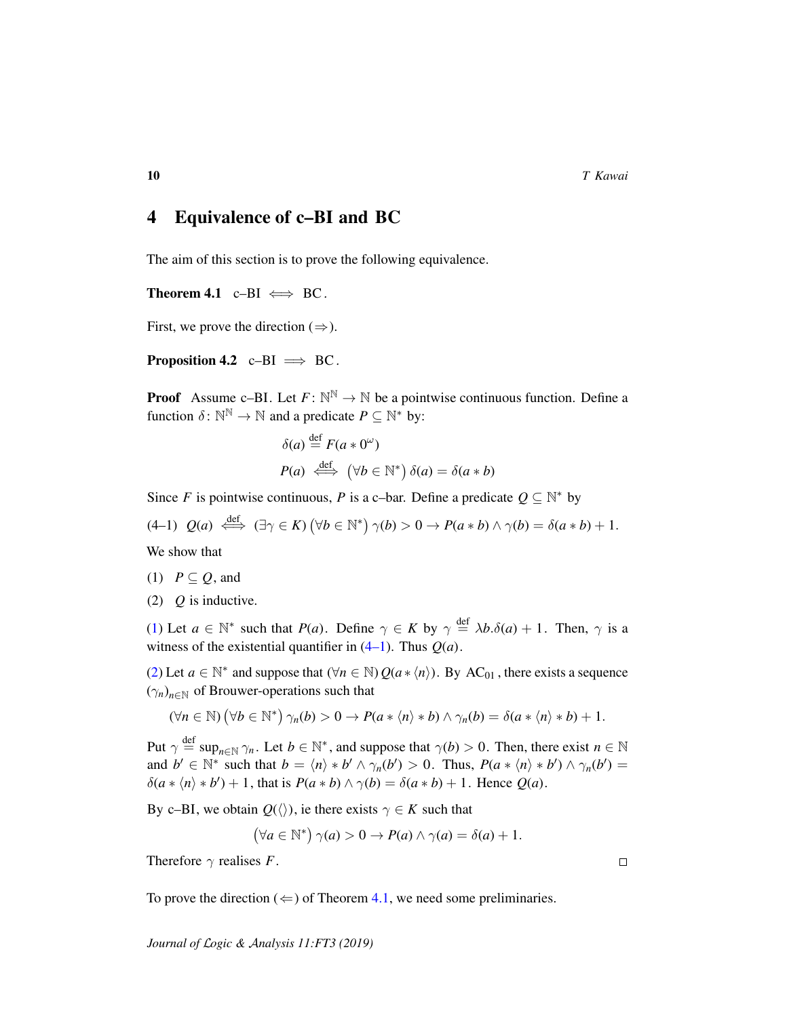## 4 Equivalence of c–BI and BC

The aim of this section is to prove the following equivalence.

<span id="page-9-3"></span>Theorem 4.1 c–BI  $\iff$  BC.

First, we prove the direction  $(\Rightarrow)$ .

**Proposition 4.2** c–BI  $\implies$  BC.

**Proof** Assume c-BI. Let  $F: \mathbb{N}^{\mathbb{N}} \to \mathbb{N}$  be a pointwise continuous function. Define a function  $\delta: \mathbb{N}^{\mathbb{N}} \to \mathbb{N}$  and a predicate  $P \subseteq \mathbb{N}^*$  by:

$$
\delta(a) \stackrel{\text{def}}{=} F(a * 0^{\omega})
$$
  

$$
P(a) \stackrel{\text{def}}{\iff} (\forall b \in \mathbb{N}^*) \delta(a) = \delta(a * b)
$$

Since *F* is pointwise continuous, *P* is a c-bar. Define a predicate  $Q \subseteq \mathbb{N}^*$  by

<span id="page-9-1"></span> $(4-1)$   $Q(a) \stackrel{\text{def}}{\iff} (\exists \gamma \in K) (\forall b \in \mathbb{N}^*) \gamma(b) > 0 \rightarrow P(a * b) \land \gamma(b) = \delta(a * b) + 1.$ We show that

<span id="page-9-0"></span>(1)  $P \subseteq Q$ , and

<span id="page-9-2"></span>(2) *Q* is inductive.

[\(1\)](#page-9-0) Let  $a \in \mathbb{N}^*$  such that  $P(a)$ . Define  $\gamma \in K$  by  $\gamma \stackrel{\text{def}}{=} \lambda b.\delta(a) + 1$ . Then,  $\gamma$  is a witness of the existential quantifier in  $(4-1)$ . Thus  $Q(a)$ .

[\(2\)](#page-9-2) Let  $a \in \mathbb{N}^*$  and suppose that  $(\forall n \in \mathbb{N}) Q(a * \langle n \rangle)$ . By AC<sub>01</sub>, there exists a sequence  $(\gamma_n)_{n \in \mathbb{N}}$  of Brouwer-operations such that

$$
(\forall n \in \mathbb{N}) (\forall b \in \mathbb{N}^*) \gamma_n(b) > 0 \rightarrow P(a * \langle n \rangle * b) \land \gamma_n(b) = \delta(a * \langle n \rangle * b) + 1.
$$

Put  $\gamma \stackrel{\text{def}}{=} \sup_{n \in \mathbb{N}} \gamma_n$ . Let  $b \in \mathbb{N}^*$ , and suppose that  $\gamma(b) > 0$ . Then, there exist  $n \in \mathbb{N}$ and  $b' \in \mathbb{N}^*$  such that  $b = \langle n \rangle * b' \land \gamma_n(b') > 0$ . Thus,  $P(a * \langle n \rangle * b') \land \gamma_n(b') = 0$  $\delta(a * \langle n \rangle * b') + 1$ , that is  $P(a * b) \land \gamma(b) = \delta(a * b) + 1$ . Hence  $Q(a)$ .

By c–BI, we obtain  $Q(\langle \rangle)$ , ie there exists  $\gamma \in K$  such that

$$
(\forall a \in \mathbb{N}^*) \gamma(a) > 0 \to P(a) \land \gamma(a) = \delta(a) + 1.
$$

Therefore  $\gamma$  realises *F*.

To prove the direction ( $\Leftarrow$ ) of Theorem [4.1,](#page-9-3) we need some preliminaries.

*Journal of* L*ogic &* A*nalysis 11:FT3 (2019)*

 $\Box$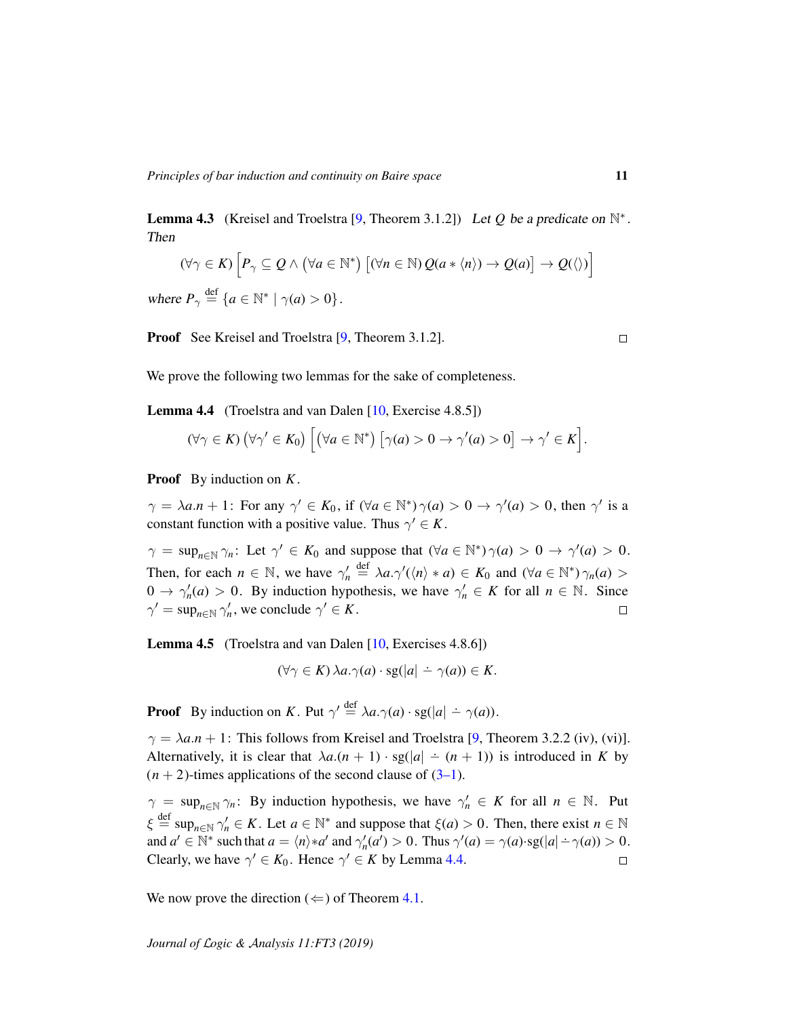<span id="page-10-2"></span>**Lemma 4.3** (Kreisel and Troelstra [\[9,](#page-18-5) Theorem 3.1.2]) Let Q be a predicate on  $\mathbb{N}^*$ .

$$
(\forall \gamma \in K) \left[ P_{\gamma} \subseteq Q \land (\forall a \in \mathbb{N}^*) \left[ (\forall n \in \mathbb{N}) Q(a * \langle n \rangle) \to Q(a) \right] \to Q(\langle \rangle) \right]
$$

where  $P_{\gamma} \stackrel{\text{def}}{=} \{a \in \mathbb{N}^* \mid \gamma(a) > 0\}.$ 

Then

Proof See Kreisel and Troelstra [\[9,](#page-18-5) Theorem 3.1.2].

We prove the following two lemmas for the sake of completeness.

<span id="page-10-0"></span>Lemma 4.4 (Troelstra and van Dalen [\[10,](#page-18-1) Exercise 4.8.5])

$$
(\forall \gamma \in K) (\forall \gamma' \in K_0) \left[ (\forall a \in \mathbb{N}^*) \left[ \gamma(a) > 0 \rightarrow \gamma'(a) > 0 \right] \rightarrow \gamma' \in K \right].
$$

Proof By induction on *K*.

 $\gamma = \lambda a.n + 1$ : For any  $\gamma' \in K_0$ , if  $(\forall a \in \mathbb{N}^*) \gamma(a) > 0 \rightarrow \gamma'(a) > 0$ , then  $\gamma'$  is a constant function with a positive value. Thus  $\gamma' \in K$ .

 $\gamma = \sup_{n \in \mathbb{N}} \gamma_n$ : Let  $\gamma' \in K_0$  and suppose that  $(\forall a \in \mathbb{N}^*) \gamma(a) > 0 \rightarrow \gamma'(a) > 0$ . Then, for each  $n \in \mathbb{N}$ , we have  $\gamma'_n \stackrel{\text{def}}{=} \lambda a.\gamma'(\langle n \rangle * a) \in K_0$  and  $(\forall a \in \mathbb{N}^*) \gamma_n(a) >$  $0 \to \gamma'_n(a) > 0$ . By induction hypothesis, we have  $\gamma'_n \in K$  for all  $n \in \mathbb{N}$ . Since  $\gamma' = \sup_{n \in \mathbb{N}} \gamma'_n$ , we conclude  $\gamma' \in K$ .  $\Box$ 

<span id="page-10-1"></span>Lemma 4.5 (Troelstra and van Dalen [\[10,](#page-18-1) Exercises 4.8.6])

$$
(\forall \gamma \in K) \lambda a.\gamma(a) \cdot \text{sg}(|a| \dot{-} \gamma(a)) \in K.
$$

**Proof** By induction on *K*. Put  $\gamma' \stackrel{\text{def}}{=} \lambda a.\gamma(a) \cdot \text{sg}(|a| - \gamma(a))$ .

 $\gamma = \lambda a.n + 1$ : This follows from Kreisel and Troelstra [\[9,](#page-18-5) Theorem 3.2.2 (iv), (vi)]. Alternatively, it is clear that  $\lambda a.(n + 1) \cdot sg(|a| - (n + 1))$  is introduced in *K* by  $(n+2)$ -times applications of the second clause of  $(3-1)$ .

 $\gamma = \sup_{n \in \mathbb{N}} \gamma_n$ : By induction hypothesis, we have  $\gamma'_n \in K$  for all  $n \in \mathbb{N}$ . Put  $\xi \stackrel{\text{def}}{=} \sup_{n \in \mathbb{N}} \gamma'_n \in K$ . Let  $a \in \mathbb{N}^*$  and suppose that  $\xi(a) > 0$ . Then, there exist  $n \in \mathbb{N}$ and  $a' \in \mathbb{N}^*$  such that  $a = \langle n \rangle * a'$  and  $\gamma'_n(a') > 0$ . Thus  $\gamma'(a) = \gamma(a) \cdot sg(|a| - \gamma(a)) > 0$ . Clearly, we have  $\gamma' \in K_0$ . Hence  $\gamma' \in K$  by Lemma [4.4.](#page-10-0)  $\Box$ 

We now prove the direction ( $\Leftarrow$ ) of Theorem [4.1.](#page-9-3)

*Journal of* L*ogic &* A*nalysis 11:FT3 (2019)*

 $\Box$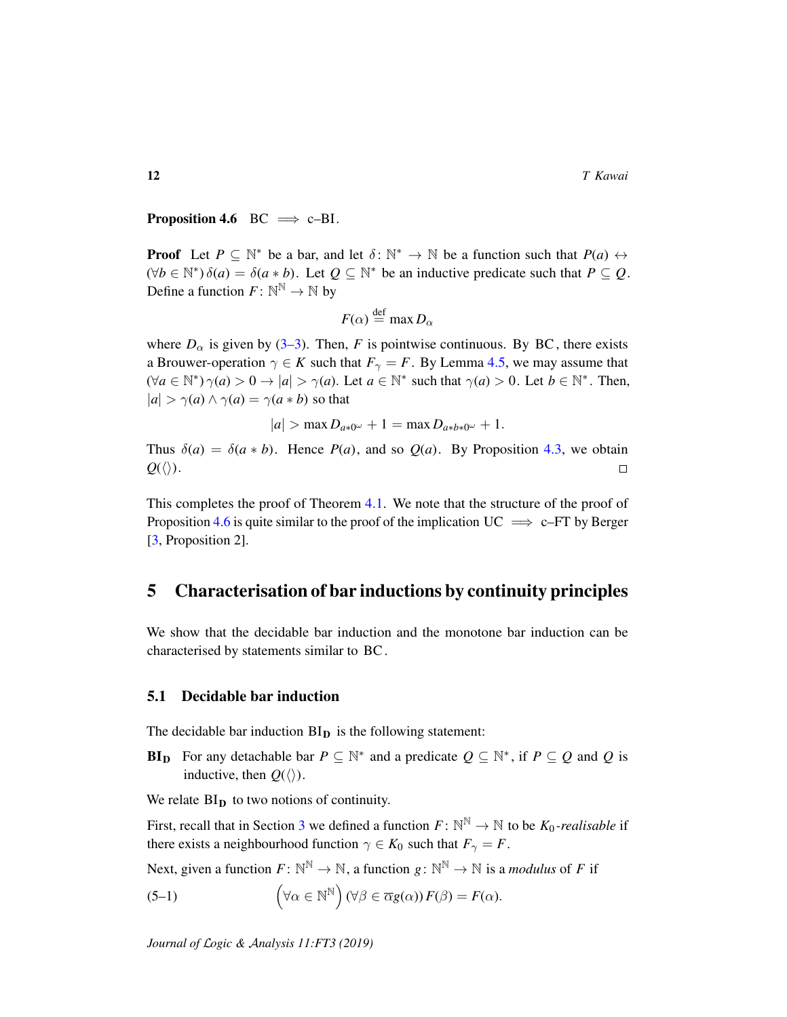<span id="page-11-0"></span>**Proposition 4.6** BC  $\implies$  c-BI.

**Proof** Let  $P \subseteq \mathbb{N}^*$  be a bar, and let  $\delta: \mathbb{N}^* \to \mathbb{N}$  be a function such that  $P(a) \leftrightarrow$  $(\forall b \in \mathbb{N}^*) \delta(a) = \delta(a * b)$ . Let  $Q \subseteq \mathbb{N}^*$  be an inductive predicate such that  $P \subseteq Q$ . Define a function  $F: \mathbb{N}^{\mathbb{N}} \to \mathbb{N}$  by

$$
F(\alpha) \stackrel{\text{def}}{=} \max D_{\alpha}
$$

where  $D_{\alpha}$  is given by [\(3–3\)](#page-7-1). Then, *F* is pointwise continuous. By BC, there exists a Brouwer-operation  $\gamma \in K$  such that  $F_{\gamma} = F$ . By Lemma [4.5,](#page-10-1) we may assume that  $(\forall a \in \mathbb{N}^*) \gamma(a) > 0 \rightarrow |a| > \gamma(a)$ . Let  $a \in \mathbb{N}^*$  such that  $\gamma(a) > 0$ . Let  $b \in \mathbb{N}^*$ . Then,  $|a| > \gamma(a) \wedge \gamma(a) = \gamma(a * b)$  so that

$$
|a| > \max D_{a*0^{\omega}} + 1 = \max D_{a*b*0^{\omega}} + 1.
$$

Thus  $\delta(a) = \delta(a * b)$ . Hence  $P(a)$ , and so  $Q(a)$ . By Proposition [4.3,](#page-10-2) we obtain  $Q(\langle\rangle)$ .  $\Box$ 

This completes the proof of Theorem [4.1.](#page-9-3) We note that the structure of the proof of Proposition [4.6](#page-11-0) is quite similar to the proof of the implication  $UC \implies c$ –FT by Berger [\[3,](#page-18-4) Proposition 2].

## 5 Characterisation of bar inductions by continuity principles

We show that the decidable bar induction and the monotone bar induction can be characterised by statements similar to BC .

#### 5.1 Decidable bar induction

The decidable bar induction  $BI<sub>D</sub>$  is the following statement:

**BI**<sub>D</sub> For any detachable bar  $P \subseteq \mathbb{N}^*$  and a predicate  $Q \subseteq \mathbb{N}^*$ , if  $P \subseteq Q$  and Q is inductive, then  $Q(\langle \rangle)$ .

We relate  $BI_D$  to two notions of continuity.

First, recall that in Section [3](#page-5-0) we defined a function  $F: \mathbb{N}^{\mathbb{N}} \to \mathbb{N}$  to be  $K_0$ -realisable if there exists a neighbourhood function  $\gamma \in K_0$  such that  $F_\gamma = F$ .

Next, given a function  $F: \mathbb{N}^{\mathbb{N}} \to \mathbb{N}$ , a function  $g: \mathbb{N}^{\mathbb{N}} \to \mathbb{N}$  is a *modulus* of F if

<span id="page-11-1"></span>(5-1) 
$$
\left(\forall \alpha \in \mathbb{N}^{\mathbb{N}}\right) (\forall \beta \in \overline{\alpha}g(\alpha)) F(\beta) = F(\alpha).
$$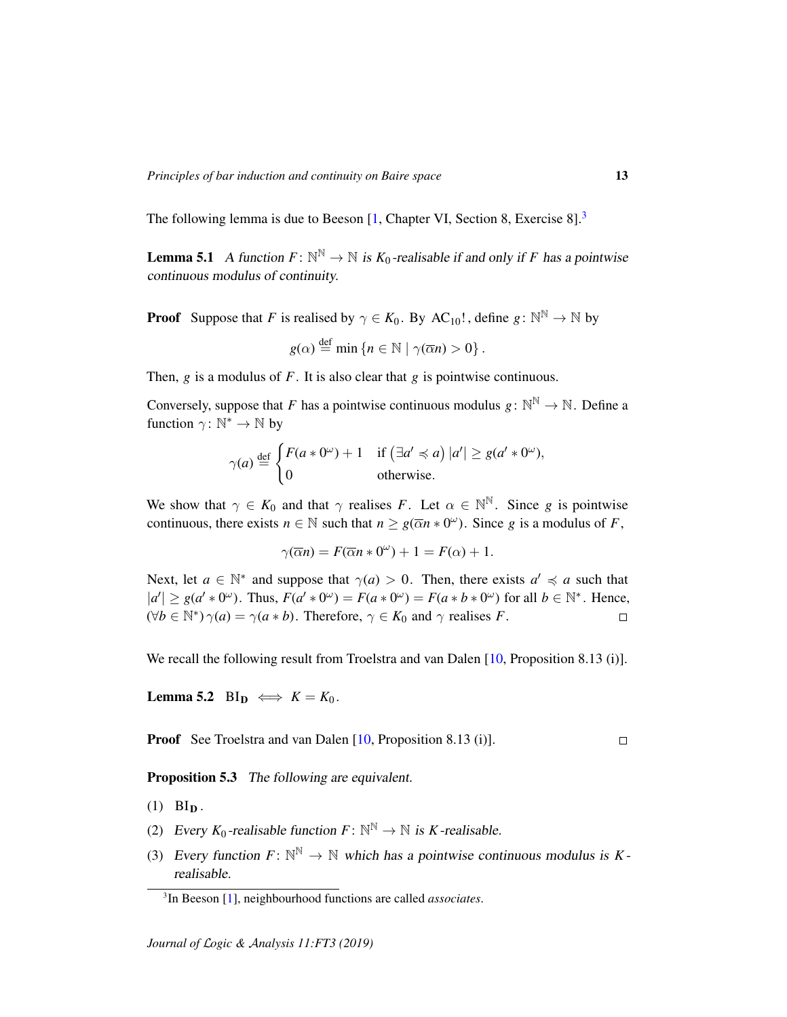The following lemma is due to Beeson [\[1,](#page-18-8) Chapter VI, Section 8, Exercise 8].<sup>[3](#page-12-1)</sup>

<span id="page-12-2"></span>**Lemma 5.1** A function  $F: \mathbb{N}^{\mathbb{N}} \to \mathbb{N}$  is  $K_0$ -realisable if and only if F has a pointwise continuous modulus of continuity.

**Proof** Suppose that *F* is realised by  $\gamma \in K_0$ . By AC<sub>10</sub>!, define  $g: \mathbb{N}^{\mathbb{N}} \to \mathbb{N}$  by

$$
g(\alpha) \stackrel{\text{def}}{=} \min \{ n \in \mathbb{N} \mid \gamma(\overline{\alpha}n) > 0 \} .
$$

Then, *g* is a modulus of *F*. It is also clear that *g* is pointwise continuous.

Conversely, suppose that *F* has a pointwise continuous modulus  $g: \mathbb{N}^{\mathbb{N}} \to \mathbb{N}$ . Define a function  $\gamma: \mathbb{N}^* \to \mathbb{N}$  by

$$
\gamma(a) \stackrel{\text{def}}{=} \begin{cases} F(a * 0^{\omega}) + 1 & \text{if } (\exists a' \preccurlyeq a) |a'| \ge g(a' * 0^{\omega}), \\ 0 & \text{otherwise.} \end{cases}
$$

We show that  $\gamma \in K_0$  and that  $\gamma$  realises F. Let  $\alpha \in \mathbb{N}^{\mathbb{N}}$ . Since g is pointwise continuous, there exists  $n \in \mathbb{N}$  such that  $n \geq g(\overline{\alpha}n * 0^{\omega})$ . Since *g* is a modulus of *F*,

$$
\gamma(\overline{\alpha}n) = F(\overline{\alpha}n * 0^{\omega}) + 1 = F(\alpha) + 1.
$$

Next, let  $a \in \mathbb{N}^*$  and suppose that  $\gamma(a) > 0$ . Then, there exists  $a' \preccurlyeq a$  such that  $|a'| \ge g(a' * 0^{\omega})$ . Thus,  $F(a' * 0^{\omega}) = F(a * 0^{\omega}) = F(a * b * 0^{\omega})$  for all  $b \in \mathbb{N}^*$ . Hence,  $(\forall b \in \mathbb{N}^*) \gamma(a) = \gamma(a * b)$ . Therefore,  $\gamma \in K_0$  and  $\gamma$  realises *F*.  $\Box$ 

We recall the following result from Troelstra and van Dalen [\[10,](#page-18-1) Proposition 8.13 (i)].

<span id="page-12-0"></span>Lemma 5.2 BI<sub>D</sub>  $\iff$   $K = K_0$ .

Proof See Troelstra and van Dalen [\[10,](#page-18-1) Proposition 8.13 (i)].  $\Box$ 

<span id="page-12-4"></span>Proposition 5.3 The following are equivalent.

- $(1)$  BI<sub>D</sub>.
- <span id="page-12-3"></span>(2) Every  $K_0$ -realisable function  $F: \mathbb{N}^{\mathbb{N}} \to \mathbb{N}$  is K-realisable.
- (3) Every function  $F: \mathbb{N}^{\mathbb{N}} \to \mathbb{N}$  which has a pointwise continuous modulus is *K*realisable.

<span id="page-12-1"></span><sup>3</sup> In Beeson [\[1\]](#page-18-8), neighbourhood functions are called *associates*.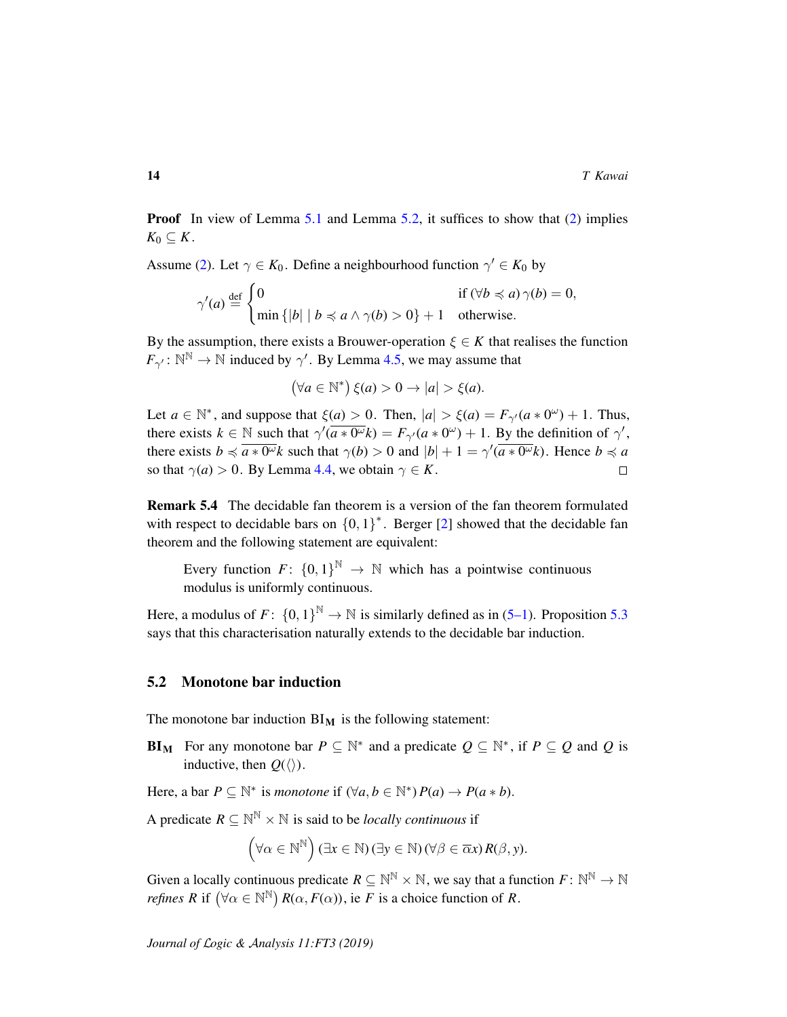**Proof** In view of Lemma [5.1](#page-12-2) and Lemma [5.2,](#page-12-0) it suffices to show that [\(2\)](#page-12-3) implies  $K_0 \subseteq K$ .

Assume [\(2\)](#page-12-3). Let  $\gamma \in K_0$ . Define a neighbourhood function  $\gamma' \in K_0$  by

$$
\gamma'(a) \stackrel{\text{def}}{=} \begin{cases} 0 & \text{if } (\forall b \preccurlyeq a) \gamma(b) = 0, \\ \min \{|b| \mid b \preccurlyeq a \land \gamma(b) > 0\} + 1 & \text{otherwise.} \end{cases}
$$

By the assumption, there exists a Brouwer-operation  $\xi \in K$  that realises the function  $F_{\gamma'} : \mathbb{N}^{\mathbb{N}} \to \mathbb{N}$  induced by  $\gamma'$ . By Lemma [4.5,](#page-10-1) we may assume that

$$
(\forall a \in \mathbb{N}^*) \xi(a) > 0 \to |a| > \xi(a).
$$

Let  $a \in \mathbb{N}^*$ , and suppose that  $\xi(a) > 0$ . Then,  $|a| > \xi(a) = F_{\gamma'}(a * 0^{\omega}) + 1$ . Thus, there exists  $k \in \mathbb{N}$  such that  $\gamma'(\overline{a \cdot 0^{\omega}}k) = F_{\gamma'}(a \cdot 0^{\omega}) + 1$ . By the definition of  $\gamma'$ , there exists  $b \preccurlyeq \overline{a \ast 0^\omega} k$  such that  $\gamma(b) > 0$  and  $|b| + 1 = \gamma'(\overline{a \ast 0^\omega} k)$ . Hence  $b \preccurlyeq a$ so that  $\gamma(a) > 0$ . By Lemma [4.4,](#page-10-0) we obtain  $\gamma \in K$ .  $\Box$ 

<span id="page-13-0"></span>Remark 5.4 The decidable fan theorem is a version of the fan theorem formulated with respect to decidable bars on  ${0, 1}^*$ . Berger [\[2\]](#page-18-3) showed that the decidable fan theorem and the following statement are equivalent:

Every function  $F: \{0,1\}^{\mathbb{N}} \to \mathbb{N}$  which has a pointwise continuous modulus is uniformly continuous.

Here, a modulus of  $F: \{0,1\}^{\mathbb{N}} \to \mathbb{N}$  is similarly defined as in [\(5–1\)](#page-11-1). Proposition [5.3](#page-12-4) says that this characterisation naturally extends to the decidable bar induction.

#### 5.2 Monotone bar induction

The monotone bar induction  $BI_M$  is the following statement:

**BI**M For any monotone bar  $P \subseteq \mathbb{N}^*$  and a predicate  $Q \subseteq \mathbb{N}^*$ , if  $P \subseteq Q$  and Q is inductive, then  $Q(\langle \rangle)$ .

Here, a bar  $P \subseteq \mathbb{N}^*$  is *monotone* if  $(\forall a, b \in \mathbb{N}^*) P(a) \rightarrow P(a * b)$ .

A predicate  $R \subseteq \mathbb{N}^{\mathbb{N}} \times \mathbb{N}$  is said to be *locally continuous* if

$$
(\forall \alpha \in \mathbb{N}^{\mathbb{N}}) (\exists x \in \mathbb{N}) (\exists y \in \mathbb{N}) (\forall \beta \in \overline{\alpha}x) R(\beta, y).
$$

Given a locally continuous predicate  $R \subseteq \mathbb{N}^{\mathbb{N}} \times \mathbb{N}$ , we say that a function  $F \colon \mathbb{N}^{\mathbb{N}} \to \mathbb{N}$ *refines*  $R$  if  $(\forall \alpha \in \mathbb{N}^{\mathbb{N}})$   $R(\alpha, F(\alpha))$ , ie  $F$  is a choice function of  $R$ .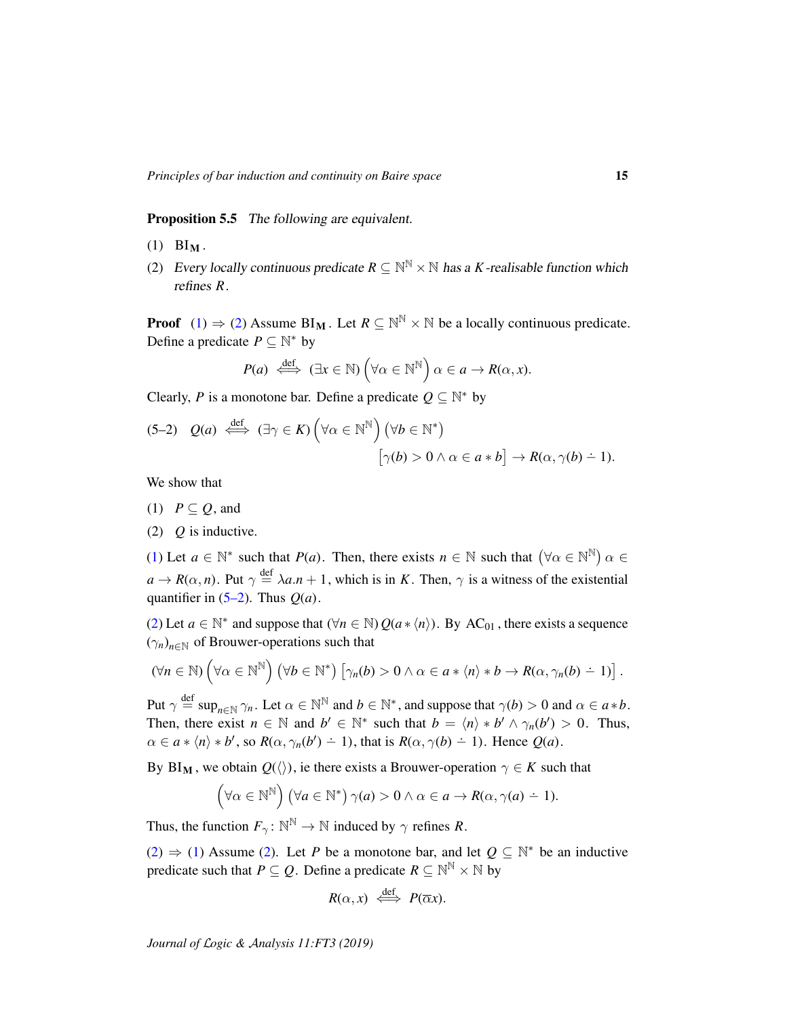<span id="page-14-5"></span>Proposition 5.5 The following are equivalent.

- <span id="page-14-0"></span> $(1)$  BI<sub>M</sub>.
- <span id="page-14-1"></span>(2) Every locally continuous predicate  $R \subseteq \mathbb{N}^{\mathbb{N}} \times \mathbb{N}$  has a *K*-realisable function which refines *R*.

**Proof** [\(1\)](#page-14-0)  $\Rightarrow$  [\(2\)](#page-14-1) Assume BI<sub>M</sub>. Let  $R \subseteq \mathbb{N}^{\mathbb{N}} \times \mathbb{N}$  be a locally continuous predicate. Define a predicate  $P \subseteq \mathbb{N}^*$  by

$$
P(a) \stackrel{\text{def}}{\iff} (\exists x \in \mathbb{N}) \left( \forall \alpha \in \mathbb{N}^{\mathbb{N}} \right) \alpha \in a \to R(\alpha, x).
$$

Clearly, *P* is a monotone bar. Define a predicate  $Q \subseteq \mathbb{N}^*$  by

<span id="page-14-3"></span>
$$
(5-2) Q(a) \stackrel{\text{def}}{\iff} (\exists \gamma \in K) \left(\forall \alpha \in \mathbb{N}^{\mathbb{N}}\right) \left(\forall b \in \mathbb{N}^*\right) \\
[\gamma(b) > 0 \land \alpha \in a * b] \to R(\alpha, \gamma(b) - 1).
$$

We show that

- <span id="page-14-2"></span>(1)  $P \subseteq Q$ , and
- <span id="page-14-4"></span>(2) *Q* is inductive.

[\(1\)](#page-14-2) Let  $a \in \mathbb{N}^*$  such that  $P(a)$ . Then, there exists  $n \in \mathbb{N}$  such that  $(\forall \alpha \in \mathbb{N}^{\mathbb{N}})$   $\alpha \in \mathbb{N}$  $a \to R(\alpha, n)$ . Put  $\gamma \stackrel{\text{def}}{=} \lambda a.n + 1$ , which is in *K*. Then,  $\gamma$  is a witness of the existential quantifier in  $(5-2)$ . Thus  $Q(a)$ .

[\(2\)](#page-14-4) Let  $a \in \mathbb{N}^*$  and suppose that  $(\forall n \in \mathbb{N}) Q(a * \langle n \rangle)$ . By AC<sub>01</sub>, there exists a sequence  $(\gamma_n)_{n \in \mathbb{N}}$  of Brouwer-operations such that

$$
(\forall n \in \mathbb{N}) \left(\forall \alpha \in \mathbb{N}^{\mathbb{N}}\right) \left(\forall b \in \mathbb{N}^*\right) \left[\gamma_n(b) > 0 \land \alpha \in a * \langle n \rangle * b \to R(\alpha, \gamma_n(b) - 1)\right].
$$

Put  $\gamma \stackrel{\text{def}}{=} \sup_{n \in \mathbb{N}} \gamma_n$ . Let  $\alpha \in \mathbb{N}^{\mathbb{N}}$  and  $b \in \mathbb{N}^*$ , and suppose that  $\gamma(b) > 0$  and  $\alpha \in a * b$ . Then, there exist  $n \in \mathbb{N}$  and  $b' \in \mathbb{N}^*$  such that  $b = \langle n \rangle * b' \wedge \gamma_n(b') > 0$ . Thus,  $\alpha \in a * \langle n \rangle * b'$ , so  $R(\alpha, \gamma_n(b') - 1)$ , that is  $R(\alpha, \gamma(b) - 1)$ . Hence  $Q(a)$ .

By BI<sub>M</sub>, we obtain  $Q(\langle \rangle)$ , ie there exists a Brouwer-operation  $\gamma \in K$  such that

$$
(\forall \alpha \in \mathbb{N}^{\mathbb{N}}) (\forall a \in \mathbb{N}^*) \gamma(a) > 0 \land \alpha \in a \to R(\alpha, \gamma(a) \doteq 1).
$$

Thus, the function  $F_{\gamma} \colon \mathbb{N}^{\mathbb{N}} \to \mathbb{N}$  induced by  $\gamma$  refines *R*.

[\(2\)](#page-14-1)  $\Rightarrow$  [\(1\)](#page-14-0) Assume (2). Let *P* be a monotone bar, and let  $Q \subseteq \mathbb{N}^*$  be an inductive predicate such that  $P \subseteq Q$ . Define a predicate  $R \subseteq \mathbb{N}^{\mathbb{N}} \times \mathbb{N}$  by

$$
R(\alpha, x) \iff P(\overline{\alpha}x).
$$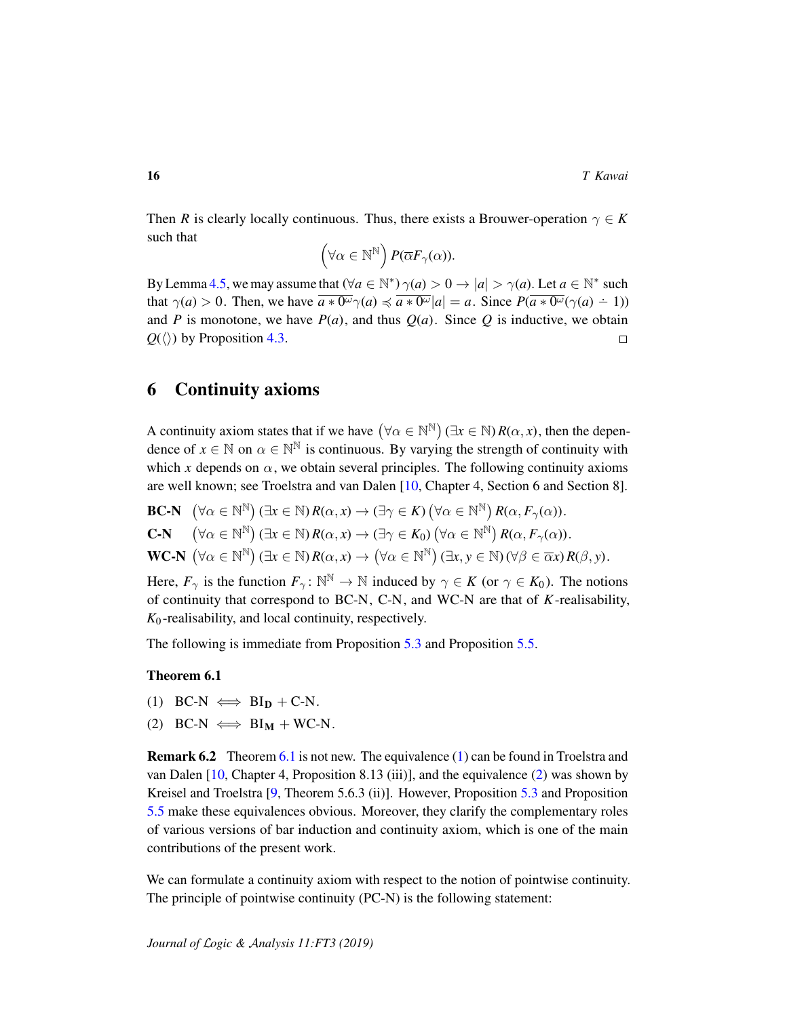Then *R* is clearly locally continuous. Thus, there exists a Brouwer-operation  $\gamma \in K$ such that

$$
(\forall \alpha \in \mathbb{N}^{\mathbb{N}}) P(\overline{\alpha} F_{\gamma}(\alpha)).
$$

By Lemma [4.5,](#page-10-1) we may assume that  $(\forall a \in \mathbb{N}^*) \gamma(a) > 0 \rightarrow |a| > \gamma(a)$ . Let  $a \in \mathbb{N}^*$  such that  $\gamma(a) > 0$ . Then, we have  $\overline{a \ast 0^{\omega}} \gamma(a) \preccurlyeq \overline{a \ast 0^{\omega}} |a| = a$ . Since  $P(\overline{a \ast 0^{\omega}} (\gamma(a) - 1))$ and *P* is monotone, we have  $P(a)$ , and thus  $Q(a)$ . Since *Q* is inductive, we obtain  $Q(\langle \rangle)$  by Proposition [4.3.](#page-10-2)  $\Box$ 

## <span id="page-15-0"></span>6 Continuity axioms

A continuity axiom states that if we have  $(\forall \alpha \in \mathbb{N}^{\mathbb{N}}) (\exists x \in \mathbb{N}) R(\alpha, x)$ , then the dependence of  $x \in \mathbb{N}$  on  $\alpha \in \mathbb{N}^{\mathbb{N}}$  is continuous. By varying the strength of continuity with which *x* depends on  $\alpha$ , we obtain several principles. The following continuity axioms are well known; see Troelstra and van Dalen [\[10,](#page-18-1) Chapter 4, Section 6 and Section 8].

**BC-N**  $(\forall \alpha \in \mathbb{N}^{\mathbb{N}})(\exists x \in \mathbb{N}) R(\alpha, x) \to (\exists \gamma \in K) (\forall \alpha \in \mathbb{N}^{\mathbb{N}}) R(\alpha, F_{\gamma}(\alpha)).$ C-N  $\forall \alpha \in \mathbb{N}^{\mathbb{N}}$   $(\exists x \in \mathbb{N}) R(\alpha, x) \rightarrow (\exists \gamma \in K_0) (\forall \alpha \in \mathbb{N}^{\mathbb{N}}) R(\alpha, F_\gamma(\alpha)).$  $WC-N \left(\forall \alpha \in \mathbb{N}^{\mathbb{N}}\right) (\exists x \in \mathbb{N}) R(\alpha, x) \rightarrow (\forall \alpha \in \mathbb{N}^{\mathbb{N}}) (\exists x, y \in \mathbb{N}) (\forall \beta \in \overline{\alpha}x) R(\beta, y).$ 

Here,  $F_{\gamma}$  is the function  $F_{\gamma} \colon \mathbb{N}^{\mathbb{N}} \to \mathbb{N}$  induced by  $\gamma \in K$  (or  $\gamma \in K_0$ ). The notions of continuity that correspond to BC-N, C-N, and WC-N are that of *K*-realisability, *K*<sup>0</sup> -realisability, and local continuity, respectively.

The following is immediate from Proposition [5.3](#page-12-4) and Proposition [5.5.](#page-14-5)

#### <span id="page-15-1"></span>Theorem 6.1

- <span id="page-15-2"></span>(1) BC-N  $\iff$  BI<sub>D</sub> + C-N.
- <span id="page-15-3"></span>(2) BC-N  $\iff$  BI<sub>M</sub> + WC-N.

**Remark 6.2** Theorem [6.1](#page-15-1) is not new. The equivalence [\(1\)](#page-15-2) can be found in Troelstra and van Dalen [\[10,](#page-18-1) Chapter 4, Proposition 8.13 (iii)], and the equivalence [\(2\)](#page-15-3) was shown by Kreisel and Troelstra [\[9,](#page-18-5) Theorem 5.6.3 (ii)]. However, Proposition [5.3](#page-12-4) and Proposition [5.5](#page-14-5) make these equivalences obvious. Moreover, they clarify the complementary roles of various versions of bar induction and continuity axiom, which is one of the main contributions of the present work.

We can formulate a continuity axiom with respect to the notion of pointwise continuity. The principle of pointwise continuity (PC-N) is the following statement: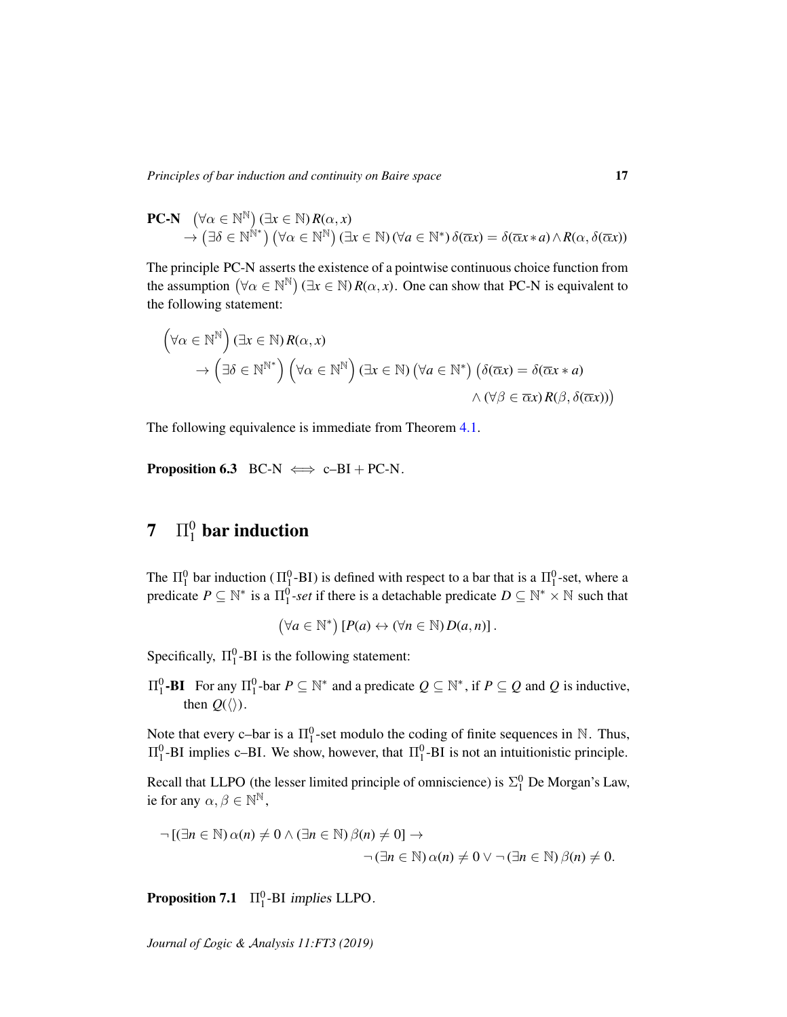$$
\mathbf{PC\text{-}N} \quad (\forall \alpha \in \mathbb{N}^{\mathbb{N}}) (\exists x \in \mathbb{N}) R(\alpha, x) \rightarrow (\exists \delta \in \mathbb{N}^{\mathbb{N}^*}) (\forall \alpha \in \mathbb{N}^{\mathbb{N}}) (\exists x \in \mathbb{N}) (\forall a \in \mathbb{N}^*) \delta(\overline{\alpha} x) = \delta(\overline{\alpha} x * a) \wedge R(\alpha, \delta(\overline{\alpha} x))
$$

The principle PC-N asserts the existence of a pointwise continuous choice function from the assumption  $(\forall \alpha \in \mathbb{N}^{\mathbb{N}})$   $(\exists x \in \mathbb{N})$  *R*( $\alpha, x$ ). One can show that PC-N is equivalent to the following statement:

$$
(\forall \alpha \in \mathbb{N}^{\mathbb{N}}) (\exists x \in \mathbb{N}) R(\alpha, x)
$$
  
\n
$$
\rightarrow (\exists \delta \in \mathbb{N}^{\mathbb{N}^*}) (\forall \alpha \in \mathbb{N}^{\mathbb{N}}) (\exists x \in \mathbb{N}) (\forall a \in \mathbb{N}^*) (\delta(\overline{\alpha}x) = \delta(\overline{\alpha}x * a)
$$
  
\n
$$
\land (\forall \beta \in \overline{\alpha}x) R(\beta, \delta(\overline{\alpha}x)))
$$

The following equivalence is immediate from Theorem [4.1.](#page-9-3)

**Proposition 6.3** BC-N  $\iff$  c–BI + PC-N.

# $7$   $\prod_{1}^{0}$  bar induction

The  $\Pi_1^0$  bar induction ( $\Pi_1^0$ -BI) is defined with respect to a bar that is a  $\Pi_1^0$ -set, where a predicate  $P \subseteq \mathbb{N}^*$  is a  $\Pi_1^0$ -set if there is a detachable predicate  $D \subseteq \mathbb{N}^* \times \mathbb{N}$  such that

$$
(\forall a \in \mathbb{N}^*) [P(a) \leftrightarrow (\forall n \in \mathbb{N}) D(a, n)].
$$

Specifically,  $\Pi_1^0$ -BI is the following statement:

 $\Pi_1^0$ **-BI** For any  $\Pi_1^0$ -bar *P* ⊆ N<sup>\*</sup> and a predicate *Q* ⊆ N<sup>\*</sup>, if *P* ⊆ *Q* and *Q* is inductive, then  $Q(\langle\rangle)$ .

Note that every c-bar is a  $\Pi_1^0$ -set modulo the coding of finite sequences in N. Thus,  $\Pi_1^0$ -BI implies c–BI. We show, however, that  $\Pi_1^0$ -BI is not an intuitionistic principle.

Recall that LLPO (the lesser limited principle of omniscience) is  $\Sigma_1^0$  De Morgan's Law, ie for any  $\alpha, \beta \in \mathbb{N}^{\mathbb{N}}$ ,

$$
\neg [(\exists n \in \mathbb{N}) \alpha(n) \neq 0 \land (\exists n \in \mathbb{N}) \beta(n) \neq 0] \rightarrow
$$
  

$$
\neg (\exists n \in \mathbb{N}) \alpha(n) \neq 0 \lor \neg (\exists n \in \mathbb{N}) \beta(n) \neq 0.
$$

**Proposition 7.1**  $\Pi_1^0$ -BI implies LLPO.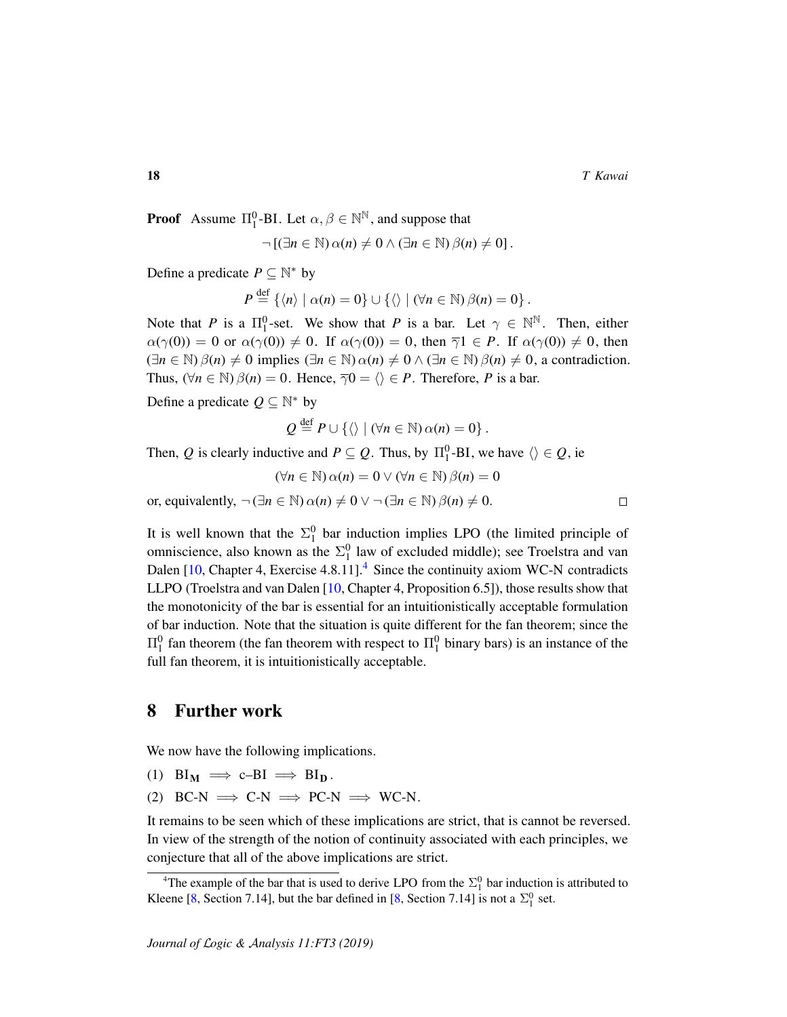$\Box$ 

**Proof** Assume  $\Pi_1^0$ -BI. Let  $\alpha, \beta \in \mathbb{N}^{\mathbb{N}}$ , and suppose that

$$
\neg \left[ (\exists n \in \mathbb{N}) \, \alpha(n) \neq 0 \wedge (\exists n \in \mathbb{N}) \, \beta(n) \neq 0 \right].
$$

Define a predicate  $P \subseteq \mathbb{N}^*$  by

$$
P \stackrel{\text{def}}{=} \left\{ \langle n \rangle \mid \alpha(n) = 0 \right\} \cup \left\{ \langle \rangle \mid (\forall n \in \mathbb{N}) \beta(n) = 0 \right\}.
$$

Note that *P* is a  $\Pi_1^0$ -set. We show that *P* is a bar. Let  $\gamma \in \mathbb{N}^{\mathbb{N}}$ . Then, either  $\alpha(\gamma(0)) = 0$  or  $\alpha(\gamma(0)) \neq 0$ . If  $\alpha(\gamma(0)) = 0$ , then  $\overline{\gamma}1 \in P$ . If  $\alpha(\gamma(0)) \neq 0$ , then  $(\exists n \in \mathbb{N}) \beta(n) \neq 0$  implies  $(\exists n \in \mathbb{N}) \alpha(n) \neq 0 \wedge (\exists n \in \mathbb{N}) \beta(n) \neq 0$ , a contradiction. Thus,  $(\forall n \in \mathbb{N}) \beta(n) = 0$ . Hence,  $\overline{\gamma}0 = \langle \rangle \in P$ . Therefore, *P* is a bar.

Define a predicate  $Q \subseteq \mathbb{N}^*$  by

$$
Q \stackrel{\text{def}}{=} P \cup \{ \langle \rangle \mid (\forall n \in \mathbb{N}) \, \alpha(n) = 0 \} \, .
$$

Then, *Q* is clearly inductive and  $P \subseteq Q$ . Thus, by  $\Pi_1^0$ -BI, we have  $\langle \rangle \in Q$ , ie

$$
(\forall n \in \mathbb{N}) \, \alpha(n) = 0 \vee (\forall n \in \mathbb{N}) \, \beta(n) = 0
$$

or, equivalently,  $\neg (\exists n \in \mathbb{N}) \, \alpha(n) \neq 0 \lor \neg (\exists n \in \mathbb{N}) \, \beta(n) \neq 0.$ 

It is well known that the  $\Sigma_1^0$  bar induction implies LPO (the limited principle of omniscience, also known as the  $\Sigma_1^0$  law of excluded middle); see Troelstra and van Dalen  $[10,$  Chapter [4](#page-17-0), Exercise 4.8.11].<sup>4</sup> Since the continuity axiom WC-N contradicts LLPO (Troelstra and van Dalen [\[10,](#page-18-1) Chapter 4, Proposition 6.5]), those results show that the monotonicity of the bar is essential for an intuitionistically acceptable formulation of bar induction. Note that the situation is quite different for the fan theorem; since the  $\Pi_1^0$  fan theorem (the fan theorem with respect to  $\Pi_1^0$  binary bars) is an instance of the full fan theorem, it is intuitionistically acceptable.

#### 8 Further work

We now have the following implications.

- (1)  $BI_M \implies c-BI \implies BI_D$ .
- (2) BC-N  $\implies$  C-N  $\implies$  PC-N  $\implies$  WC-N.

It remains to be seen which of these implications are strict, that is cannot be reversed. In view of the strength of the notion of continuity associated with each principles, we conjecture that all of the above implications are strict.

<span id="page-17-0"></span><sup>&</sup>lt;sup>4</sup>The example of the bar that is used to derive LPO from the  $\Sigma_1^0$  bar induction is attributed to Kleene [\[8,](#page-18-9) Section 7.14], but the bar defined in [8, Section 7.14] is not a  $\Sigma_1^0$  set.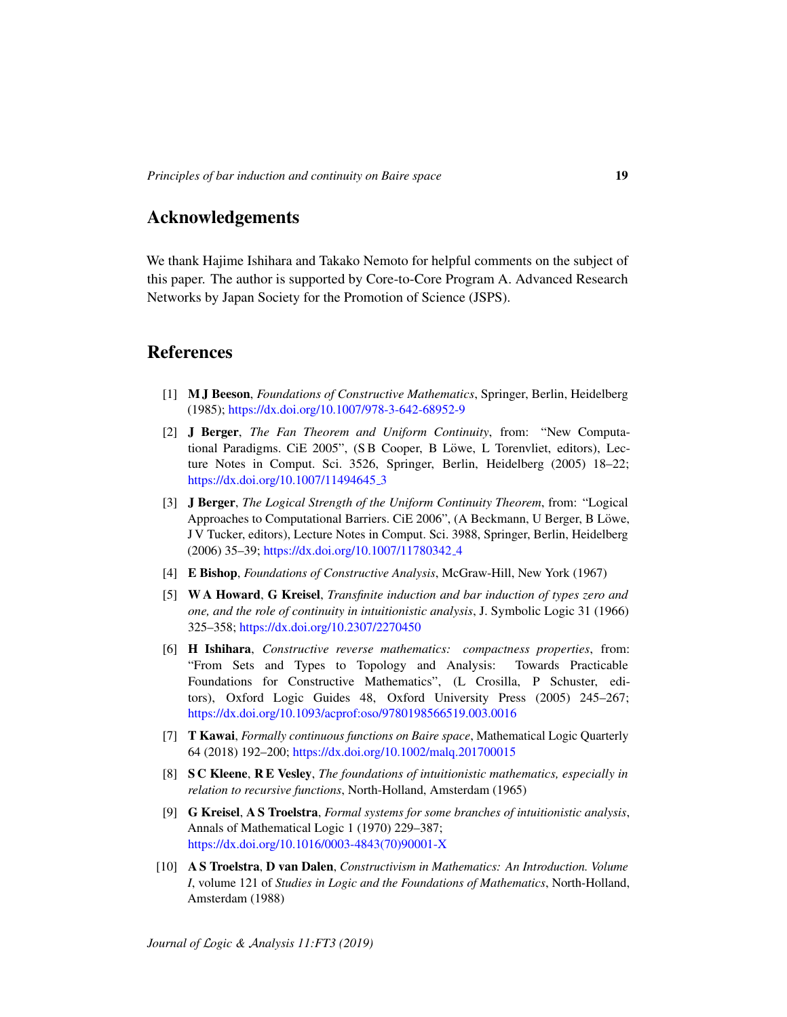## Acknowledgements

We thank Hajime Ishihara and Takako Nemoto for helpful comments on the subject of this paper. The author is supported by Core-to-Core Program A. Advanced Research Networks by Japan Society for the Promotion of Science (JSPS).

## References

- <span id="page-18-8"></span>[1] M J Beeson, *Foundations of Constructive Mathematics*, Springer, Berlin, Heidelberg (1985); <https://dx.doi.org/10.1007/978-3-642-68952-9>
- <span id="page-18-3"></span>[2] J Berger, *The Fan Theorem and Uniform Continuity*, from: "New Computational Paradigms. CiE 2005", (SB Cooper, B Löwe, L Torenvliet, editors), Lecture Notes in Comput. Sci. 3526, Springer, Berlin, Heidelberg (2005) 18–22; [https://dx.doi.org/10.1007/11494645](https://dx.doi.org/10.1007/11494645_3)\_3
- <span id="page-18-4"></span>[3] J Berger, *The Logical Strength of the Uniform Continuity Theorem*, from: "Logical Approaches to Computational Barriers. CiE 2006", (A Beckmann, U Berger, B Löwe, J V Tucker, editors), Lecture Notes in Comput. Sci. 3988, Springer, Berlin, Heidelberg (2006) 35–39; [https://dx.doi.org/10.1007/11780342](https://dx.doi.org/10.1007/11780342_4) 4
- <span id="page-18-0"></span>[4] E Bishop, *Foundations of Constructive Analysis*, McGraw-Hill, New York (1967)
- <span id="page-18-6"></span>[5] W A Howard, G Kreisel, *Transfinite induction and bar induction of types zero and one, and the role of continuity in intuitionistic analysis*, J. Symbolic Logic 31 (1966) 325–358; <https://dx.doi.org/10.2307/2270450>
- <span id="page-18-2"></span>[6] H Ishihara, *Constructive reverse mathematics: compactness properties*, from: "From Sets and Types to Topology and Analysis: Towards Practicable Foundations for Constructive Mathematics", (L Crosilla, P Schuster, editors), Oxford Logic Guides 48, Oxford University Press (2005) 245–267; <https://dx.doi.org/10.1093/acprof:oso/9780198566519.003.0016>
- <span id="page-18-7"></span>[7] T Kawai, *Formally continuous functions on Baire space*, Mathematical Logic Quarterly 64 (2018) 192–200; <https://dx.doi.org/10.1002/malq.201700015>
- <span id="page-18-9"></span>[8] S C Kleene, R E Vesley, *The foundations of intuitionistic mathematics, especially in relation to recursive functions*, North-Holland, Amsterdam (1965)
- <span id="page-18-5"></span>[9] G Kreisel, A S Troelstra, *Formal systems for some branches of intuitionistic analysis*, Annals of Mathematical Logic 1 (1970) 229–387; [https://dx.doi.org/10.1016/0003-4843\(70\)90001-X](https://dx.doi.org/10.1016/0003-4843(70)90001-X)
- <span id="page-18-1"></span>[10] A S Troelstra, D van Dalen, *Constructivism in Mathematics: An Introduction. Volume I*, volume 121 of *Studies in Logic and the Foundations of Mathematics*, North-Holland, Amsterdam (1988)